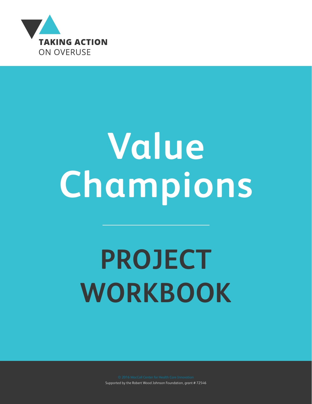

# **Value Champions**

## **PROJECT WORKBOOK**

Supported by the Robert Wood Johnson Foundation, grant # 72546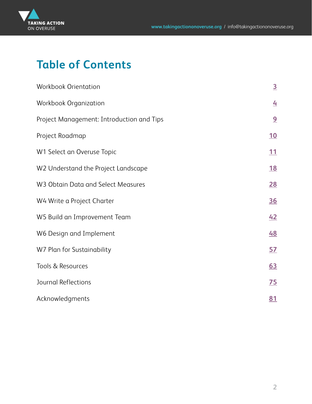

## **Table of Contents**

| Workbook Orientation                      | $\overline{3}$  |
|-------------------------------------------|-----------------|
| Workbook Organization                     | $\overline{4}$  |
| Project Management: Introduction and Tips | 9               |
| Project Roadmap                           | 10              |
| W1 Select an Overuse Topic                | 11              |
| W2 Understand the Project Landscape       | <u>18</u>       |
| W3 Obtain Data and Select Measures        | 28              |
| W4 Write a Project Charter                | <u>36</u>       |
| W5 Build an Improvement Team              | 42              |
| W6 Design and Implement                   | 48              |
| W7 Plan for Sustainability                | <u>57</u>       |
| Tools & Resources                         | <u>63</u>       |
| Journal Reflections                       | $\overline{25}$ |
| Acknowledgments                           | 81              |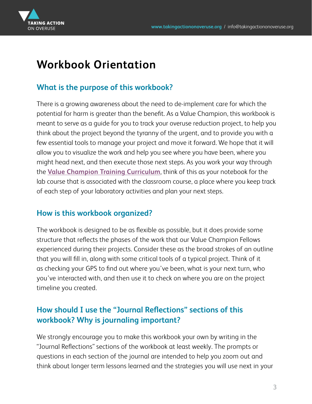<span id="page-2-0"></span>

## **Workbook Orientation**

#### **What is the purpose of this workbook?**

There is a growing awareness about the need to de-implement care for which the potential for harm is greater than the benefit. As a Value Champion, this workbook is meant to serve as a guide for you to track your overuse reduction project, to help you think about the project beyond the tyranny of the urgent, and to provide you with a few essential tools to manage your project and move it forward. We hope that it will allow you to visualize the work and help you see where you have been, where you might head next, and then execute those next steps. As you work your way through the **[Value Champion Training Curriculum](http://moodle.kpsahs.edu/course/view.php?id=1817)**, think of this as your notebook for the lab course that is associated with the classroom course, a place where you keep track of each step of your laboratory activities and plan your next steps.

#### **How is this workbook organized?**

The workbook is designed to be as flexible as possible, but it does provide some structure that reflects the phases of the work that our Value Champion Fellows experienced during their projects. Consider these as the broad strokes of an outline that you will fill in, along with some critical tools of a typical project. Think of it as checking your GPS to find out where you've been, what is your next turn, who you've interacted with, and then use it to check on where you are on the project timeline you created.

#### **How should I use the "Journal Reflections" sections of this workbook? Why is journaling important?**

We strongly encourage you to make this workbook your own by writing in the "Journal Reflections" sections of the workbook at least weekly. The prompts or questions in each section of the journal are intended to help you zoom out and think about longer term lessons learned and the strategies you will use next in your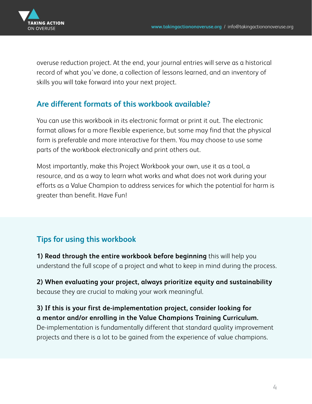<span id="page-3-0"></span>

overuse reduction project. At the end, your journal entries will serve as a historical record of what you've done, a collection of lessons learned, and an inventory of skills you will take forward into your next project.

#### **Are different formats of this workbook available?**

You can use this workbook in its electronic format or print it out. The electronic format allows for a more flexible experience, but some may find that the physical form is preferable and more interactive for them. You may choose to use some parts of the workbook electronically and print others out.

Most importantly, make this Project Workbook your own, use it as a tool, a resource, and as a way to learn what works and what does not work during your efforts as a Value Champion to address services for which the potential for harm is greater than benefit. Have Fun!

#### **Tips for using this workbook**

**1) Read through the entire workbook before beginning** this will help you understand the full scope of a project and what to keep in mind during the process.

**2) When evaluating your project, always prioritize equity and sustainability** because they are crucial to making your work meaningful.

#### **3) If this is your first de-implementation project, consider looking for a mentor and/or enrolling in the Value Champions Training Curriculum.**

De-implementation is fundamentally different that standard quality improvement projects and there is a lot to be gained from the experience of value champions.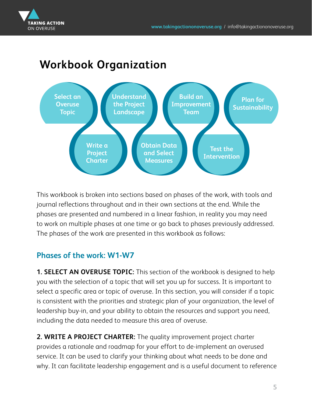

### **Workbook Organization**



This workbook is broken into sections based on phases of the work, with tools and journal reflections throughout and in their own sections at the end. While the phases are presented and numbered in a linear fashion, in reality you may need to work on multiple phases at one time or go back to phases previously addressed. The phases of the work are presented in this workbook as follows:

#### **Phases of the work: W1-W7**

**1. SELECT AN OVERUSE TOPIC:** This section of the workbook is designed to help you with the selection of a topic that will set you up for success. It is important to select a specific area or topic of overuse. In this section, you will consider if a topic is consistent with the priorities and strategic plan of your organization, the level of leadership buy-in, and your ability to obtain the resources and support you need, including the data needed to measure this area of overuse.

**2. WRITE A PROJECT CHARTER:** The quality improvement project charter provides a rationale and roadmap for your effort to de-implement an overused service. It can be used to clarify your thinking about what needs to be done and why. It can facilitate leadership engagement and is a useful document to reference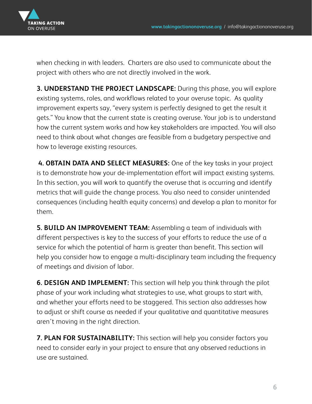

when checking in with leaders. Charters are also used to communicate about the project with others who are not directly involved in the work.

**3. UNDERSTAND THE PROJECT LANDSCAPE:** During this phase, you will explore existing systems, roles, and workflows related to your overuse topic. As quality improvement experts say, "every system is perfectly designed to get the result it gets." You know that the current state is creating overuse. Your job is to understand how the current system works and how key stakeholders are impacted. You will also need to think about what changes are feasible from a budgetary perspective and how to leverage existing resources.

**4. OBTAIN DATA AND SELECT MEASURES:** One of the key tasks in your project is to demonstrate how your de-implementation effort will impact existing systems. In this section, you will work to quantify the overuse that is occurring and identify metrics that will guide the change process. You also need to consider unintended consequences (including health equity concerns) and develop a plan to monitor for them.

**5. BUILD AN IMPROVEMENT TEAM:** Assembling a team of individuals with different perspectives is key to the success of your efforts to reduce the use of a service for which the potential of harm is greater than benefit. This section will help you consider how to engage a multi-disciplinary team including the frequency of meetings and division of labor.

**6. DESIGN AND IMPLEMENT:** This section will help you think through the pilot phase of your work including what strategies to use, what groups to start with, and whether your efforts need to be staggered. This section also addresses how to adjust or shift course as needed if your qualitative and quantitative measures aren't moving in the right direction.

**7. PLAN FOR SUSTAINABILITY:** This section will help you consider factors you need to consider early in your project to ensure that any observed reductions in use are sustained.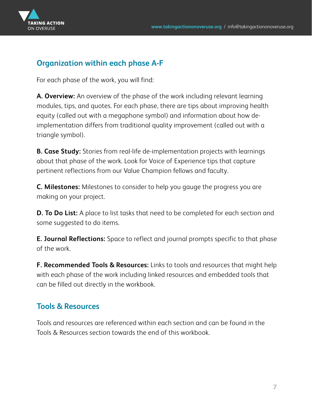

#### **Organization within each phase A-F**

For each phase of the work, you will find:

**A. Overview:** An overview of the phase of the work including relevant learning modules, tips, and quotes. For each phase, there are tips about improving health equity (called out with a megaphone symbol) and information about how deimplementation differs from traditional quality improvement (called out with a triangle symbol).

**B. Case Study:** Stories from real-life de-implementation projects with learnings about that phase of the work. Look for Voice of Experience tips that capture pertinent reflections from our Value Champion fellows and faculty.

**C. Milestones:** Milestones to consider to help you gauge the progress you are making on your project.

**D. To Do List:** A place to list tasks that need to be completed for each section and some suggested to do items.

**E. Journal Reflections:** Space to reflect and journal prompts specific to that phase of the work.

**F. Recommended Tools & Resources:** Links to tools and resources that might help with each phase of the work including linked resources and embedded tools that can be filled out directly in the workbook.

#### **Tools & Resources**

Tools and resources are referenced within each section and can be found in the Tools & Resources section towards the end of this workbook.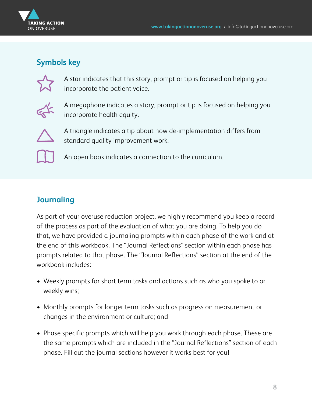

#### **Symbols key**



A star indicates that this story, prompt or tip is focused on helping you incorporate the patient voice.



A megaphone indicates a story, prompt or tip is focused on helping you incorporate health equity.



A triangle indicates a tip about how de-implementation differs from standard quality improvement work.



An open book indicates a connection to the curriculum.

#### **Journaling**

As part of your overuse reduction project, we highly recommend you keep a record of the process as part of the evaluation of what you are doing. To help you do that, we have provided a journaling prompts within each phase of the work and at the end of this workbook. The "Journal Reflections" section within each phase has prompts related to that phase. The "Journal Reflections" section at the end of the workbook includes:

- Weekly prompts for short term tasks and actions such as who you spoke to or weekly wins;
- Monthly prompts for longer term tasks such as progress on measurement or changes in the environment or culture; and
- Phase specific prompts which will help you work through each phase. These are the same prompts which are included in the "Journal Reflections" section of each phase. Fill out the journal sections however it works best for you!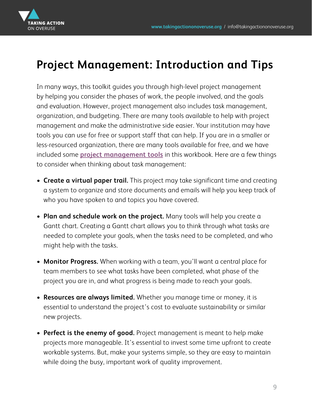<span id="page-8-0"></span>

## **Project Management: Introduction and Tips**

In many ways, this toolkit guides you through high-level project management by helping you consider the phases of work, the people involved, and the goals and evaluation. However, project management also includes task management, organization, and budgeting. There are many tools available to help with project management and make the administrative side easier. Your institution may have tools you can use for free or support staff that can help. If you are in a smaller or less-resourced organization, there are many tools available for free, and we have included some **[project management tools](#page-62-0)** in this workbook. Here are a few things to consider when thinking about task management:

- **Create a virtual paper trail.** This project may take significant time and creating a system to organize and store documents and emails will help you keep track of who you have spoken to and topics you have covered.
- **Plan and schedule work on the project.** Many tools will help you create a Gantt chart. Creating a Gantt chart allows you to think through what tasks are needed to complete your goals, when the tasks need to be completed, and who might help with the tasks.
- **Monitor Progress.** When working with a team, you'll want a central place for team members to see what tasks have been completed, what phase of the project you are in, and what progress is being made to reach your goals.
- **Resources are always limited.** Whether you manage time or money, it is essential to understand the project's cost to evaluate sustainability or similar new projects.
- **Perfect is the enemy of good.** Project management is meant to help make projects more manageable. It's essential to invest some time upfront to create workable systems. But, make your systems simple, so they are easy to maintain while doing the busy, important work of quality improvement.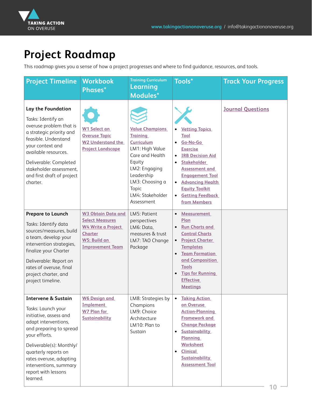<span id="page-9-0"></span>

## **Project Roadmap**

This roadmap gives you a sense of how a project progresses and where to find guidance, resources, and tools.

| <b>Project Timeline</b>                                                                                                                                                                                                                                                                        | <b>Workbook</b><br>Phases*                                                                                                             | <b>Training Curriculum</b><br>Learning<br>Modules*                                                                                                                                                          | Tools*                                                                                                                                                                                                                                                                                                 | <b>Track Your Progress</b> |
|------------------------------------------------------------------------------------------------------------------------------------------------------------------------------------------------------------------------------------------------------------------------------------------------|----------------------------------------------------------------------------------------------------------------------------------------|-------------------------------------------------------------------------------------------------------------------------------------------------------------------------------------------------------------|--------------------------------------------------------------------------------------------------------------------------------------------------------------------------------------------------------------------------------------------------------------------------------------------------------|----------------------------|
| Lay the Foundation<br>Tasks: Identify an<br>overuse problem that is<br>a strategic priority and<br>feasible. Understand<br>your context and<br>available resources.<br>Deliverable: Completed<br>stakeholder assessment,<br>and first draft of project<br>charter.                             | W1 Select an<br><b>Overuse Topic</b><br><b>W2 Understand the</b><br><b>Project Landscape</b>                                           | <b>Value Champions</b><br><b>Training</b><br><b>Curriculum</b><br>LM1: High Value<br>Care and Health<br>Equity<br>LM2: Engaging<br>Leadership<br>LM3: Choosing a<br>Topic<br>LM4: Stakeholder<br>Assessment | <b>Vetting Topics</b><br>Tool<br>Go-No-Go<br><b>Exercise</b><br><b>IRB Decision Aid</b><br>$\bullet$<br><b>Stakeholder</b><br>$\bullet$<br><b>Assessment and</b><br><b>Engagement Tool</b><br><b>Advancing Health</b><br><b>Equity Toolkit</b><br><b>Getting Feedback</b><br>$\bullet$<br>from Members | <b>Journal Questions</b>   |
| <b>Prepare to Launch</b><br>Tasks: Identify data<br>sources/measures, build<br>a team, develop your<br>intervention strategies,<br>finalize your Charter<br>Deliverable: Report on<br>rates of overuse, final<br>project charter, and<br>project timeline.                                     | <b>W3 Obtain Data and</b><br><b>Select Measures</b><br>W4 Write a Project<br><b>Charter</b><br>W5: Build an<br><b>Improvement Team</b> | LM5: Patient<br>perspectives<br>LM6: Data,<br>measures & trust<br>LM7: TAO Change<br>Package                                                                                                                | <b>Measurement</b><br>$\bullet$<br>Plan<br><b>Run Charts and</b><br><b>Control Charts</b><br><b>Project Charter</b><br><b>Templates</b><br><b>Team Formation</b><br>$\bullet$<br>and Composition<br><b>Tools</b><br><b>Tips for Running</b><br><b>Effective</b><br><b>Meetings</b>                     |                            |
| <b>Intervene &amp; Sustain</b><br>Tasks: Launch your<br>initiative, assess and<br>adapt interventions,<br>and preparing to spread<br>your efforts.<br>Deliverable(s): Monthly/<br>quarterly reports on<br>rates overuse, adapting<br>interventions, summary<br>report with lessons<br>learned. | <b>W6 Design and</b><br>Implement<br><b>W7 Plan for</b><br>Sustainability                                                              | LM8: Strategies by<br>Champions<br>LM9: Choice<br>Architecture<br>LM10: Plan to<br>Sustain                                                                                                                  | <b>Taking Action</b><br>$\bullet$<br>on Overuse<br><b>Action-Planning</b><br><b>Framework and</b><br><b>Change Package</b><br><b>Sustainability</b><br>$\bullet$<br><b>Planning</b><br><b>Worksheet</b><br><b>Clinical</b><br>$\bullet$<br><b>Sustainability</b><br><b>Assessment Tool</b>             |                            |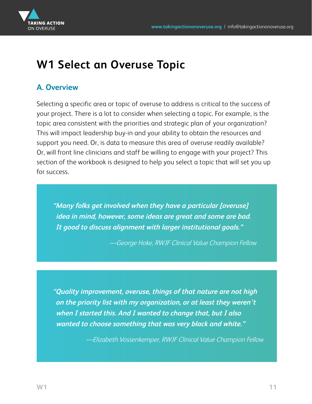<span id="page-10-0"></span>

## **W1 Select an Overuse Topic**

#### **A. Overview**

Selecting a specific area or topic of overuse to address is critical to the success of your project. There is a lot to consider when selecting a topic. For example, is the topic area consistent with the priorities and strategic plan of your organization? This will impact leadership buy-in and your ability to obtain the resources and support you need. Or, is data to measure this area of overuse readily available? Or, will front line clinicians and staff be willing to engage with your project? This section of the workbook is designed to help you select a topic that will set you up for success.

**"Many folks get involved when they have a particular [overuse] idea in mind, however, some ideas are great and some are bad. It good to discuss alignment with larger institutional goals."** 

—George Hoke, RWJF Clinical Value Champion Fellow

**"Quality improvement, overuse, things of that nature are not high on the priority list with my organization, or at least they weren't when I started this. And I wanted to change that, but I also wanted to choose something that was very black and white."** 

—Elizabeth Vossenkemper, RWJF Clinical Value Champion Fellow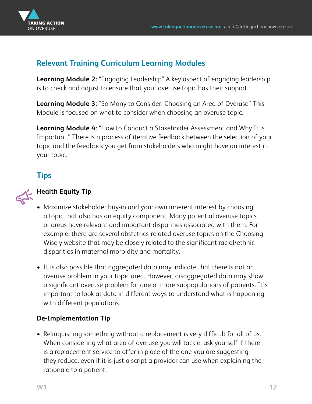

#### **Relevant Training Curriculum Learning Modules**

**Learning Module 2:** "Engaging Leadership" A key aspect of engaging leadership is to check and adjust to ensure that your overuse topic has their support.

**Learning Module 3:** "So Many to Consider: Choosing an Area of Overuse" This Module is focused on what to consider when choosing an overuse topic.

**Learning Module 4:** "How to Conduct a Stakeholder Assessment and Why It is Important." There is a process of iterative feedback between the selection of your topic and the feedback you get from stakeholders who might have an interest in your topic.

#### **Tips**



#### **Health Equity Tip**

- Maximize stakeholder buy-in and your own inherent interest by choosing a topic that also has an equity component. Many potential overuse topics or areas have relevant and important disparities associated with them. For example, there are several obstetrics-related overuse topics on the Choosing Wisely website that may be closely related to the significant racial/ethnic disparities in maternal morbidity and mortality.
- It is also possible that aggregated data may indicate that there is not an overuse problem in your topic area. However, disaggregated data may show a significant overuse problem for one or more subpopulations of patients. It's important to look at data in different ways to understand what is happening with different populations.

#### **De-Implementation Tip**

• Relinquishing something without a replacement is very difficult for all of us. When considering what area of overuse you will tackle, ask yourself if there is a replacement service to offer in place of the one you are suggesting they reduce, even if it is just a script a provider can use when explaining the rationale to a patient.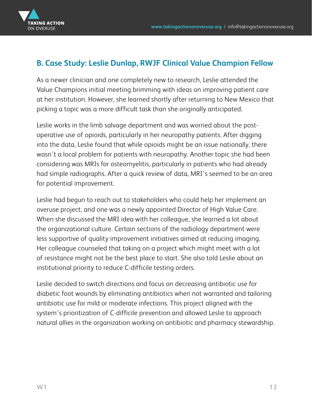

#### **B. Case Study: Leslie Dunlap, RWJF Clinical Value Champion Fellow**

As a newer clinician and one completely new to research, Leslie attended the Value Champions initial meeting brimming with ideas on improving patient care at her institution. However, she learned shortly after returning to New Mexico that picking a topic was a more difficult task than she originally anticipated.

Leslie works in the limb salvage department and was worried about the postoperative use of opioids, particularly in her neuropathy patients. After digging into the data, Leslie found that while opioids might be an issue nationally, there wasn't a local problem for patients with neuropathy. Another topic she had been considering was MRIs for osteomyelitis, particularly in patients who had already had simple radiographs. After a quick review of data, MRI's seemed to be an area for potential improvement.

Leslie had begun to reach out to stakeholders who could help her implement an overuse project, and one was a newly appointed Director of High Value Care. When she discussed the MRI idea with her colleague, she learned a lot about the organizational culture. Certain sections of the radiology department were less supportive of quality improvement initiatives aimed at reducing imaging. Her colleague counseled that taking on a project which might meet with a lot of resistance might not be the best place to start. She also told Leslie about an institutional priority to reduce C-difficile testing orders.

Leslie decided to switch directions and focus on decreasing antibiotic use for diabetic foot wounds by eliminating antibiotics when not warranted and tailoring antibiotic use for mild or moderate infections. This project aligned with the system's prioritization of C-difficile prevention and allowed Leslie to approach natural allies in the organization working on antibiotic and pharmacy stewardship.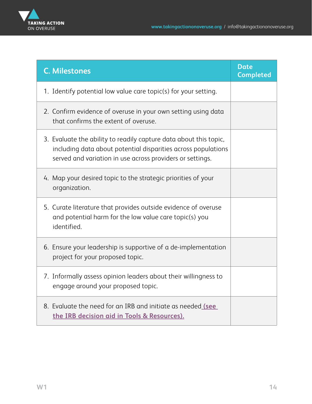

| <b>C. Milestones</b>                                                                                                                                                                            | <b>Date</b><br><b>Completed</b> |
|-------------------------------------------------------------------------------------------------------------------------------------------------------------------------------------------------|---------------------------------|
| 1. Identify potential low value care topic(s) for your setting.                                                                                                                                 |                                 |
| 2. Confirm evidence of overuse in your own setting using data<br>that confirms the extent of overuse.                                                                                           |                                 |
| 3. Evaluate the ability to readily capture data about this topic,<br>including data about potential disparities across populations<br>served and variation in use across providers or settings. |                                 |
| 4. Map your desired topic to the strategic priorities of your<br>organization.                                                                                                                  |                                 |
| 5. Curate literature that provides outside evidence of overuse<br>and potential harm for the low value care topic(s) you<br>identified.                                                         |                                 |
| 6. Ensure your leadership is supportive of a de-implementation<br>project for your proposed topic.                                                                                              |                                 |
| 7. Informally assess opinion leaders about their willingness to<br>engage around your proposed topic.                                                                                           |                                 |
| 8. Evaluate the need for an IRB and initiate as needed (see<br>the IRB decision aid in Tools & Resources).                                                                                      |                                 |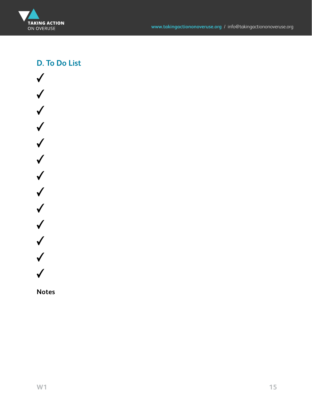

#### **D. To Do List**



**Notes**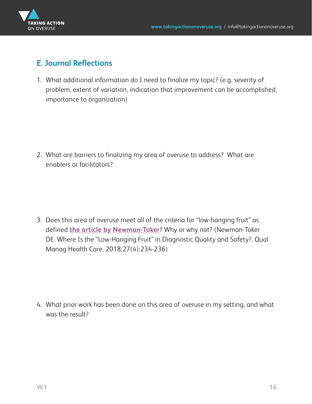

#### **E. Journal Reflections**

1. What additional information do I need to finalize my topic? (e.g. severity of problem, extent of variation, indication that improvement can be accomplished, importance to organization)

2. What are barriers to finalizing my area of overuse to address? What are enablers or facilitators?

3. Does this area of overuse meet all of the criteria for "low-hanging fruit" as defined **[the article by Newman-Toker](https://journals.lww.com/qmhcjournal/Citation/2018/10000/Where_Is_the__Low_Hanging_Fruit__in_Diagnostic.9.aspx)**? Why or why not? (Newman-Toker DE. Where Is the "Low-Hanging Fruit" in Diagnostic Quality and Safety?. Qual Manag Health Care. 2018;27(4):234-236)

4. What prior work has been done on this area of overuse in my setting, and what was the result?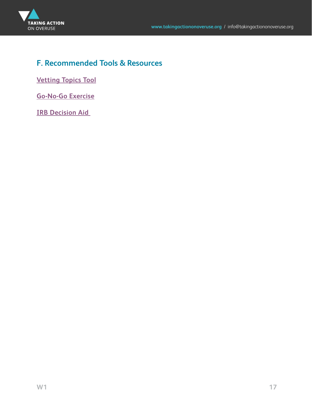

#### **F. Recommended Tools & Resources**

**[Vetting Topics Tool](#page-66-0)**

**[Go-No-Go Exercise](#page-67-0)**

**IRB Decision Aid**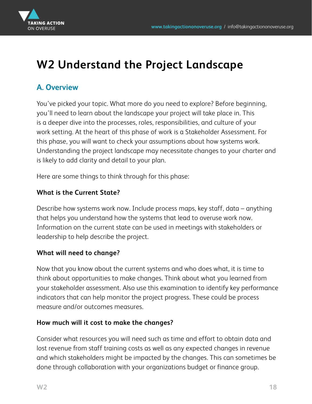<span id="page-17-0"></span>

## **W2 Understand the Project Landscape**

#### **A. Overview**

You've picked your topic. What more do you need to explore? Before beginning, you'll need to learn about the landscape your project will take place in. This is a deeper dive into the processes, roles, responsibilities, and culture of your work setting. At the heart of this phase of work is a Stakeholder Assessment. For this phase, you will want to check your assumptions about how systems work. Understanding the project landscape may necessitate changes to your charter and is likely to add clarity and detail to your plan.

Here are some things to think through for this phase:

#### **What is the Current State?**

Describe how systems work now. Include process maps, key staff, data – anything that helps you understand how the systems that lead to overuse work now. Information on the current state can be used in meetings with stakeholders or leadership to help describe the project.

#### **What will need to change?**

Now that you know about the current systems and who does what, it is time to think about opportunities to make changes. Think about what you learned from your stakeholder assessment. Also use this examination to identify key performance indicators that can help monitor the project progress. These could be process measure and/or outcomes measures.

#### **How much will it cost to make the changes?**

Consider what resources you will need such as time and effort to obtain data and lost revenue from staff training costs as well as any expected changes in revenue and which stakeholders might be impacted by the changes. This can sometimes be done through collaboration with your organizations budget or finance group.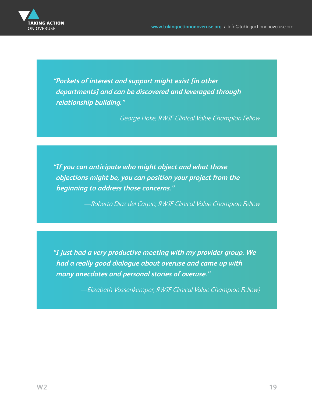

**"Pockets of interest and support might exist [in other departments] and can be discovered and leveraged through relationship building."** 

George Hoke, RWJF Clinical Value Champion Fellow

**"If you can anticipate who might object and what those objections might be, you can position your project from the beginning to address those concerns."** 

—Roberto Diaz del Carpio, RWJF Clinical Value Champion Fellow

**"I just had a very productive meeting with my provider group. We had a really good dialogue about overuse and came up with many anecdotes and personal stories of overuse."** 

—Elizabeth Vossenkemper, RWJF Clinical Value Champion Fellow)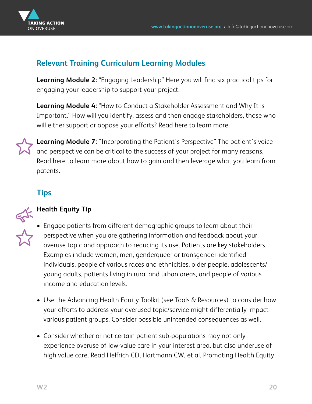

#### **Relevant Training Curriculum Learning Modules**

**Learning Module 2:** "Engaging Leadership" Here you will find six practical tips for engaging your leadership to support your project.

**Learning Module 4:** "How to Conduct a Stakeholder Assessment and Why It is Important." How will you identify, assess and then engage stakeholders, those who will either support or oppose your efforts? Read here to learn more.



**Learning Module 7:** "Incorporating the Patient's Perspective" The patient's voice and perspective can be critical to the success of your project for many reasons. Read here to learn more about how to gain and then leverage what you learn from patents.

#### **Tips**



#### **Health Equity Tip**

- Engage patients from different demographic groups to learn about their perspective when you are gathering information and feedback about your overuse topic and approach to reducing its use. Patients are key stakeholders. Examples include women, men, genderqueer or transgender-identified individuals, people of various races and ethnicities, older people, adolescents/ young adults, patients living in rural and urban areas, and people of various income and education levels.
- Use the Advancing Health Equity Toolkit (see Tools & Resources) to consider how your efforts to address your overused topic/service might differentially impact various patient groups. Consider possible unintended consequences as well.
- Consider whether or not certain patient sub-populations may not only experience overuse of low-value care in your interest area, but also underuse of high value care. Read Helfrich CD, Hartmann CW, et al. Promoting Health Equity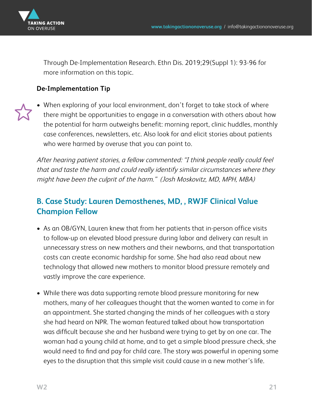

Through De-Implementation Research. Ethn Dis. 2019;29(Suppl 1): 93-96 for more information on this topic.

#### **De-Implementation Tip**

• When exploring of your local environment, don't forget to take stock of where there might be opportunities to engage in a conversation with others about how the potential for harm outweighs benefit: morning report, clinic huddles, monthly case conferences, newsletters, etc. Also look for and elicit stories about patients who were harmed by overuse that you can point to.

After hearing patient stories, a fellow commented: "I think people really could feel that and taste the harm and could really identify similar circumstances where they might have been the culprit of the harm." (Josh Moskovitz, MD, MPH, MBA)

#### **B. Case Study: Lauren Demosthenes, MD, , RWJF Clinical Value Champion Fellow**

- As an OB/GYN, Lauren knew that from her patients that in-person office visits to follow-up on elevated blood pressure during labor and delivery can result in unnecessary stress on new mothers and their newborns, and that transportation costs can create economic hardship for some. She had also read about new technology that allowed new mothers to monitor blood pressure remotely and vastly improve the care experience.
- While there was data supporting remote blood pressure monitoring for new mothers, many of her colleagues thought that the women wanted to come in for an appointment. She started changing the minds of her colleagues with a story she had heard on NPR. The woman featured talked about how transportation was difficult because she and her husband were trying to get by on one car. The woman had a young child at home, and to get a simple blood pressure check, she would need to find and pay for child care. The story was powerful in opening some eyes to the disruption that this simple visit could cause in a new mother's life.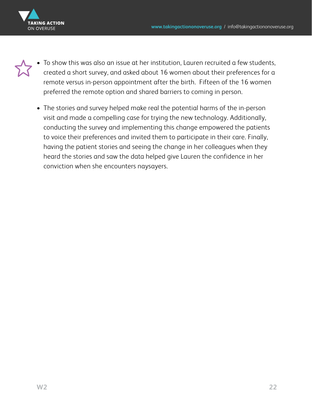

- To show this was also an issue at her institution, Lauren recruited a few students, created a short survey, and asked about 16 women about their preferences for a remote versus in-person appointment after the birth. Fifteen of the 16 women preferred the remote option and shared barriers to coming in person.
	- The stories and survey helped make real the potential harms of the in-person visit and made a compelling case for trying the new technology. Additionally, conducting the survey and implementing this change empowered the patients to voice their preferences and invited them to participate in their care. Finally, having the patient stories and seeing the change in her colleagues when they heard the stories and saw the data helped give Lauren the confidence in her conviction when she encounters naysayers.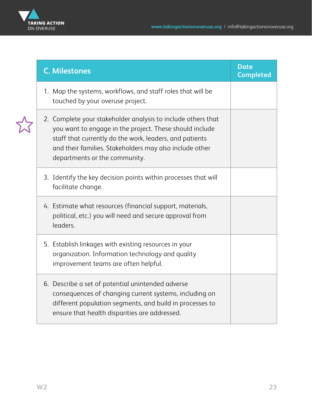

| <b>C. Milestones</b>                                                                                                                                                                                                                                                           | <b>Date</b><br><b>Completed</b> |
|--------------------------------------------------------------------------------------------------------------------------------------------------------------------------------------------------------------------------------------------------------------------------------|---------------------------------|
| 1. Map the systems, workflows, and staff roles that will be<br>touched by your overuse project.                                                                                                                                                                                |                                 |
| 2. Complete your stakeholder analysis to include others that<br>you want to engage in the project. These should include<br>staff that currently do the work, leaders, and patients<br>and their families. Stakeholders may also include other<br>departments or the community. |                                 |
| 3. Identify the key decision points within processes that will<br>facilitate change.                                                                                                                                                                                           |                                 |
| 4. Estimate what resources (financial support, materials,<br>political, etc.) you will need and secure approval from<br>leaders.                                                                                                                                               |                                 |
| 5. Establish linkages with existing resources in your<br>organization. Information technology and quality<br>improvement teams are often helpful.                                                                                                                              |                                 |
| 6. Describe a set of potential unintended adverse<br>consequences of changing current systems, including on<br>different population segments, and build in processes to<br>ensure that health disparities are addressed.                                                       |                                 |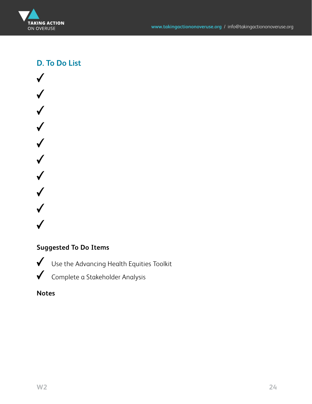

**D. To Do List**

 $\checkmark$  $\checkmark$  $\checkmark$  $\checkmark$  $\checkmark$  $\checkmark$  $\checkmark$  $\checkmark$ 

#### **Suggested To Do Items**

Use the Advancing Health Equities Toolkit

Complete a Stakeholder Analysis

**Notes**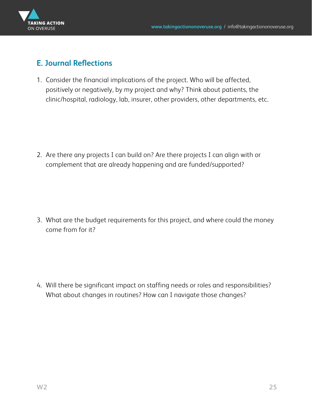

#### **E. Journal Reflections**

1. Consider the financial implications of the project. Who will be affected, positively or negatively, by my project and why? Think about patients, the clinic/hospital, radiology, lab, insurer, other providers, other departments, etc.

2. Are there any projects I can build on? Are there projects I can align with or complement that are already happening and are funded/supported?

3. What are the budget requirements for this project, and where could the money come from for it?

4. Will there be significant impact on staffing needs or roles and responsibilities? What about changes in routines? How can I navigate those changes?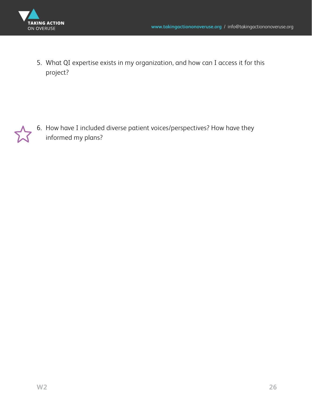

5. What QI expertise exists in my organization, and how can I access it for this project?

6. How have I included diverse patient voices/perspectives? How have they informed my plans?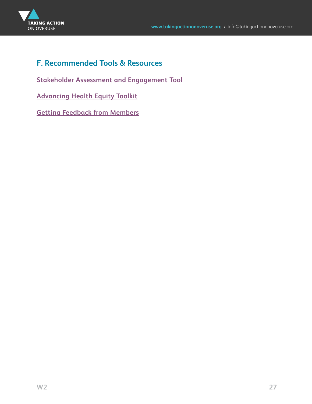

#### **F. Recommended Tools & Resources**

**[Stakeholder Assessment and Engagement Tool](#page-68-0)**

**[Advancing Health Equity Toolkit](#page-71-0)**

**[Getting Feedback from Members](#page-71-0)**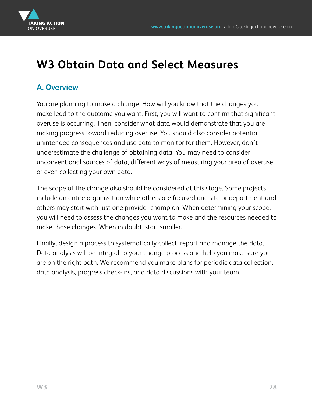<span id="page-27-0"></span>

## **W3 Obtain Data and Select Measures**

#### **A. Overview**

You are planning to make a change. How will you know that the changes you make lead to the outcome you want. First, you will want to confirm that significant overuse is occurring. Then, consider what data would demonstrate that you are making progress toward reducing overuse. You should also consider potential unintended consequences and use data to monitor for them. However, don't underestimate the challenge of obtaining data. You may need to consider unconventional sources of data, different ways of measuring your area of overuse, or even collecting your own data.

The scope of the change also should be considered at this stage. Some projects include an entire organization while others are focused one site or department and others may start with just one provider champion. When determining your scope, you will need to assess the changes you want to make and the resources needed to make those changes. When in doubt, start smaller.

Finally, design a process to systematically collect, report and manage the data. Data analysis will be integral to your change process and help you make sure you are on the right path. We recommend you make plans for periodic data collection, data analysis, progress check-ins, and data discussions with your team.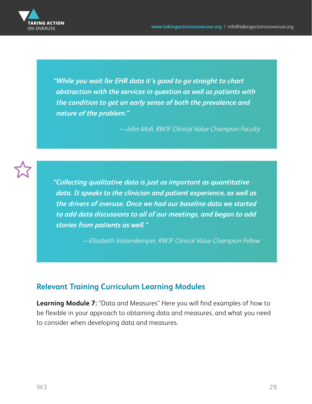

**"While you wait for EHR data it's good to go straight to chart abstraction with the services in question as well as patients with the condition to get an early sense of both the prevalence and nature of the problem."** 

—John Mafi, RWJF Clinical Value Champion Faculty



**"Collecting qualitative data is just as important as quantitative data. It speaks to the clinician and patient experience, as well as the drivers of overuse. Once we had our baseline data we started to add data discussions to all of our meetings, and began to add stories from patients as well."** 

—Elizabeth Vossenkemper, RWJF Clinical Value Champion Fellow

#### **Relevant Training Curriculum Learning Modules**

**Learning Module 7:** "Data and Measures" Here you will find examples of how to be flexible in your approach to obtaining data and measures, and what you need to consider when developing data and measures.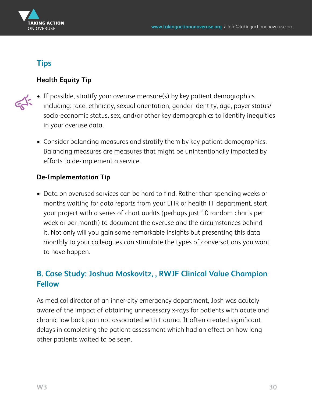

#### **Tips**

#### **Health Equity Tip**

- 
- If possible, stratify your overuse measure(s) by key patient demographics including: race, ethnicity, sexual orientation, gender identity, age, payer status/ socio-economic status, sex, and/or other key demographics to identify inequities in your overuse data.
	- Consider balancing measures and stratify them by key patient demographics. Balancing measures are measures that might be unintentionally impacted by efforts to de-implement a service.

#### **De-Implementation Tip**

• Data on overused services can be hard to find. Rather than spending weeks or months waiting for data reports from your EHR or health IT department, start your project with a series of chart audits (perhaps just 10 random charts per week or per month) to document the overuse and the circumstances behind it. Not only will you gain some remarkable insights but presenting this data monthly to your colleagues can stimulate the types of conversations you want to have happen.

#### **B. Case Study: Joshua Moskovitz, , RWJF Clinical Value Champion Fellow**

As medical director of an inner-city emergency department, Josh was acutely aware of the impact of obtaining unnecessary x-rays for patients with acute and chronic low back pain not associated with trauma. It often created significant delays in completing the patient assessment which had an effect on how long other patients waited to be seen.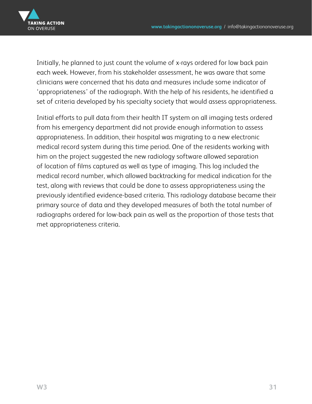

Initially, he planned to just count the volume of x-rays ordered for low back pain each week. However, from his stakeholder assessment, he was aware that some clinicians were concerned that his data and measures include some indicator of 'appropriateness' of the radiograph. With the help of his residents, he identified a set of criteria developed by his specialty society that would assess appropriateness.

Initial efforts to pull data from their health IT system on all imaging tests ordered from his emergency department did not provide enough information to assess appropriateness. In addition, their hospital was migrating to a new electronic medical record system during this time period. One of the residents working with him on the project suggested the new radiology software allowed separation of location of films captured as well as type of imaging. This log included the medical record number, which allowed backtracking for medical indication for the test, along with reviews that could be done to assess appropriateness using the previously identified evidence-based criteria. This radiology database became their primary source of data and they developed measures of both the total number of radiographs ordered for low-back pain as well as the proportion of those tests that met appropriateness criteria.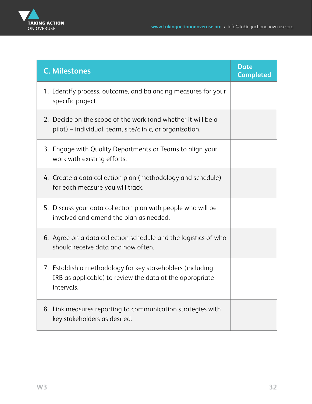

| <b>C. Milestones</b>                                                                                                                 | <b>Date</b><br><b>Completed</b> |
|--------------------------------------------------------------------------------------------------------------------------------------|---------------------------------|
| 1. Identify process, outcome, and balancing measures for your<br>specific project.                                                   |                                 |
| 2. Decide on the scope of the work (and whether it will be a<br>pilot) – individual, team, site/clinic, or organization.             |                                 |
| 3. Engage with Quality Departments or Teams to align your<br>work with existing efforts.                                             |                                 |
| 4. Create a data collection plan (methodology and schedule)<br>for each measure you will track.                                      |                                 |
| 5. Discuss your data collection plan with people who will be<br>involved and amend the plan as needed.                               |                                 |
| 6. Agree on a data collection schedule and the logistics of who<br>should receive data and how often.                                |                                 |
| 7. Establish a methodology for key stakeholders (including<br>IRB as applicable) to review the data at the appropriate<br>intervals. |                                 |
| 8. Link measures reporting to communication strategies with<br>key stakeholders as desired.                                          |                                 |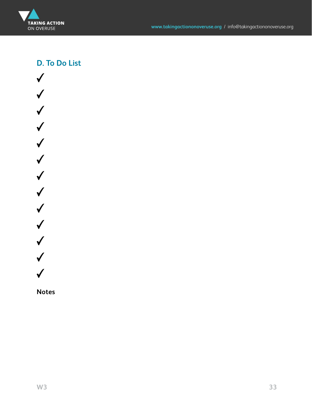

#### **D. To Do List**



**Notes**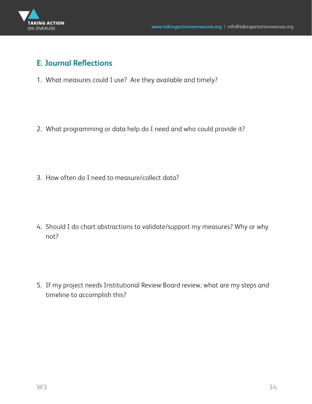

#### **E. Journal Reflections**

1. What measures could I use? Are they available and timely?

2. What programming or data help do I need and who could provide it?

3. How often do I need to measure/collect data?

4. Should I do chart abstractions to validate/support my measures? Why or why not?

5. If my project needs Institutional Review Board review, what are my steps and timeline to accomplish this?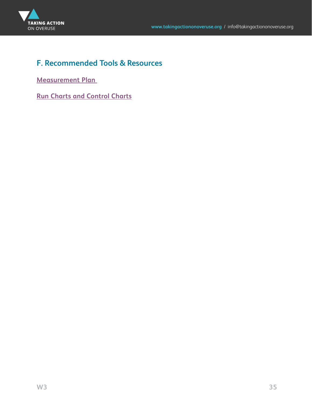

#### **F. Recommended Tools & Resources**

**[Measurement Plan](#page-72-0)** 

**[Run Charts and Control Charts](#page-72-0)**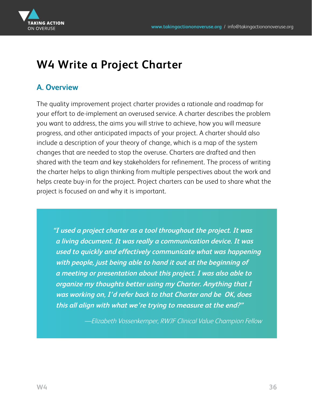<span id="page-35-0"></span>

## **W4 Write a Project Charter**

#### **A. Overview**

The quality improvement project charter provides a rationale and roadmap for your effort to de-implement an overused service. A charter describes the problem you want to address, the aims you will strive to achieve, how you will measure progress, and other anticipated impacts of your project. A charter should also include a description of your theory of change, which is a map of the system changes that are needed to stop the overuse. Charters are drafted and then shared with the team and key stakeholders for refinement. The process of writing the charter helps to align thinking from multiple perspectives about the work and helps create buy-in for the project. Project charters can be used to share what the project is focused on and why it is important.

**"I used a project charter as a tool throughout the project. It was a living document. It was really a communication device. It was used to quickly and effectively communicate what was happening with people, just being able to hand it out at the beginning of a meeting or presentation about this project. I was also able to organize my thoughts better using my Charter. Anything that I was working on, I'd refer back to that Charter and be OK, does this all align with what we're trying to measure at the end?"** 

—Elizabeth Vossenkemper, RWJF Clinical Value Champion Fellow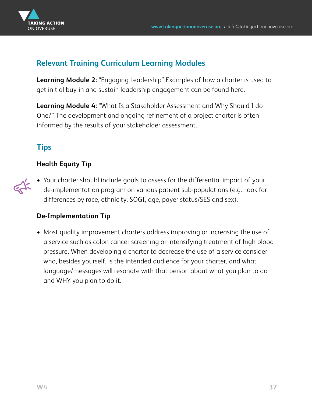

### **Relevant Training Curriculum Learning Modules**

**Learning Module 2:** "Engaging Leadership" Examples of how a charter is used to get initial buy-in and sustain leadership engagement can be found here.

**Learning Module 4:** "What Is a Stakeholder Assessment and Why Should I do One?" The development and ongoing refinement of a project charter is often informed by the results of your stakeholder assessment.

## **Tips**

#### **Health Equity Tip**

• Your charter should include goals to assess for the differential impact of your de-implementation program on various patient sub-populations (e.g., look for differences by race, ethnicity, SOGI, age, payer status/SES and sex).

#### **De-Implementation Tip**

• Most quality improvement charters address improving or increasing the use of a service such as colon cancer screening or intensifying treatment of high blood pressure. When developing a charter to decrease the use of a service consider who, besides yourself, is the intended audience for your charter, and what language/messages will resonate with that person about what you plan to do and WHY you plan to do it.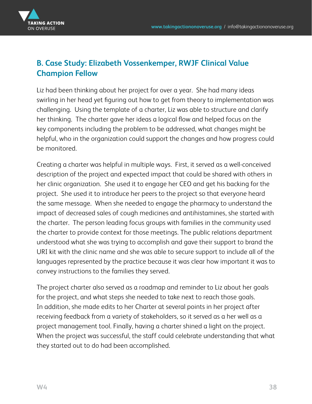

## **B. Case Study: Elizabeth Vossenkemper, RWJF Clinical Value Champion Fellow**

Liz had been thinking about her project for over a year. She had many ideas swirling in her head yet figuring out how to get from theory to implementation was challenging. Using the template of a charter, Liz was able to structure and clarify her thinking. The charter gave her ideas a logical flow and helped focus on the key components including the problem to be addressed, what changes might be helpful, who in the organization could support the changes and how progress could be monitored.

Creating a charter was helpful in multiple ways. First, it served as a well-conceived description of the project and expected impact that could be shared with others in her clinic organization. She used it to engage her CEO and get his backing for the project. She used it to introduce her peers to the project so that everyone heard the same message. When she needed to engage the pharmacy to understand the impact of decreased sales of cough medicines and antihistamines, she started with the charter. The person leading focus groups with families in the community used the charter to provide context for those meetings. The public relations department understood what she was trying to accomplish and gave their support to brand the URI kit with the clinic name and she was able to secure support to include all of the languages represented by the practice because it was clear how important it was to convey instructions to the families they served.

The project charter also served as a roadmap and reminder to Liz about her goals for the project, and what steps she needed to take next to reach those goals. In addition, she made edits to her Charter at several points in her project after receiving feedback from a variety of stakeholders, so it served as a her well as a project management tool. Finally, having a charter shined a light on the project. When the project was successful, the staff could celebrate understanding that what they started out to do had been accomplished.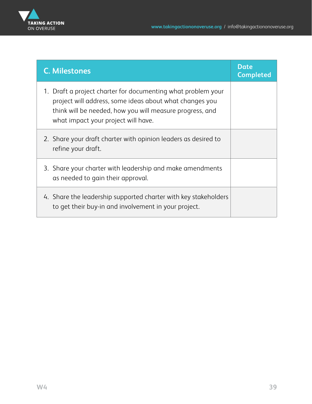

| <b>C. Milestones</b>                                                                                                                                                                                                       | <b>Date</b><br><b>Completed</b> |
|----------------------------------------------------------------------------------------------------------------------------------------------------------------------------------------------------------------------------|---------------------------------|
| 1. Draft a project charter for documenting what problem your<br>project will address, some ideas about what changes you<br>think will be needed, how you will measure progress, and<br>what impact your project will have. |                                 |
| 2. Share your draft charter with opinion leaders as desired to<br>refine your draft.                                                                                                                                       |                                 |
| 3. Share your charter with leadership and make amendments<br>as needed to gain their approval.                                                                                                                             |                                 |
| 4. Share the leadership supported charter with key stakeholders<br>to get their buy-in and involvement in your project.                                                                                                    |                                 |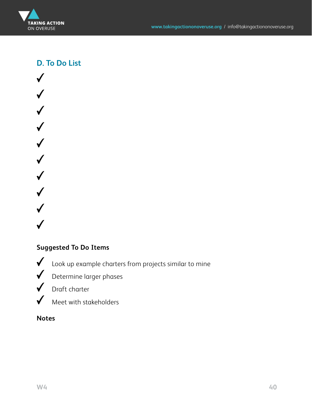

**D. To Do List**

 $\checkmark$  $\checkmark$  $\checkmark$  $\checkmark$  $\checkmark$  $\checkmark$  $\checkmark$ 

#### **Suggested To Do Items**

Look up example charters from projects similar to mine

Determine larger phases

 $\checkmark$ Draft charter



#### **Notes**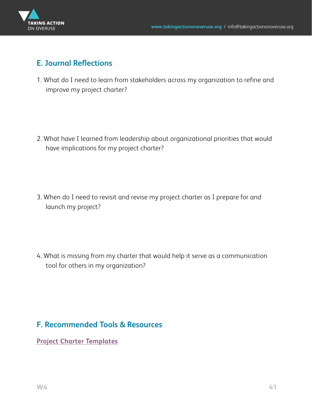

### **E. Journal Reflections**

1. What do I need to learn from stakeholders across my organization to refine and improve my project charter?

2. What have I learned from leadership about organizational priorities that would have implications for my project charter?

3. When do I need to revisit and revise my project charter as I prepare for and launch my project?

4. What is missing from my charter that would help it serve as a communication tool for others in my organization?

### **F. Recommended Tools & Resources**

**[Project Charter Templates](#page-73-0)**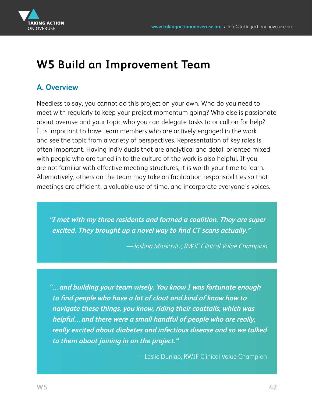

# **W5 Build an Improvement Team**

## **A. Overview**

Needless to say, you cannot do this project on your own. Who do you need to meet with regularly to keep your project momentum going? Who else is passionate about overuse and your topic who you can delegate tasks to or call on for help? It is important to have team members who are actively engaged in the work and see the topic from a variety of perspectives. Representation of key roles is often important. Having individuals that are analytical and detail oriented mixed with people who are tuned in to the culture of the work is also helpful. If you are not familiar with effective meeting structures, it is worth your time to learn. Alternatively, others on the team may take on facilitation responsibilities so that meetings are efficient, a valuable use of time, and incorporate everyone's voices.

**"I met with my three residents and formed a coalition. They are super excited. They brought up a novel way to find CT scans actually."** 

—Joshua Moskovitz, RWJF Clinical Value Champion

**"…and building your team wisely. You know I was fortunate enough to find people who have a lot of clout and kind of know how to navigate these things, you know, riding their coattails, which was helpful…and there were a small handful of people who are really, really excited about diabetes and infectious disease and so we talked to them about joining in on the project."** 

—Leslie Dunlap, RWJF Clinical Value Champion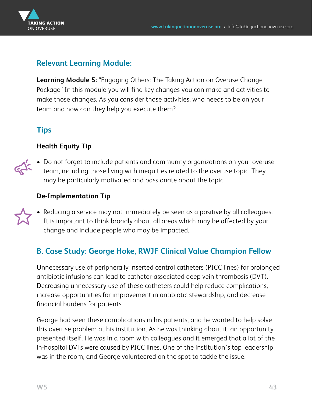<span id="page-42-0"></span>

#### **Relevant Learning Module:**

**Learning Module 5:** "Engaging Others: The Taking Action on Overuse Change Package" In this module you will find key changes you can make and activities to make those changes. As you consider those activities, who needs to be on your team and how can they help you execute them?

### **Tips**

#### **Health Equity Tip**



• Do not forget to include patients and community organizations on your overuse team, including those living with inequities related to the overuse topic. They may be particularly motivated and passionate about the topic.

#### **De-Implementation Tip**

• Reducing a service may not immediately be seen as a positive by all colleagues. It is important to think broadly about all areas which may be affected by your change and include people who may be impacted.

## **B. Case Study: George Hoke, RWJF Clinical Value Champion Fellow**

Unnecessary use of peripherally inserted central catheters (PICC lines) for prolonged antibiotic infusions can lead to catheter-associated deep vein thrombosis (DVT). Decreasing unnecessary use of these catheters could help reduce complications, increase opportunities for improvement in antibiotic stewardship, and decrease financial burdens for patients.

George had seen these complications in his patients, and he wanted to help solve this overuse problem at his institution. As he was thinking about it, an opportunity presented itself. He was in a room with colleagues and it emerged that a lot of the in-hospital DVTs were caused by PICC lines. One of the institution's top leadership was in the room, and George volunteered on the spot to tackle the issue.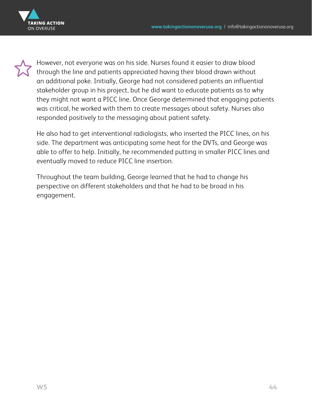

However, not everyone was on his side. Nurses found it easier to draw blood through the line and patients appreciated having their blood drawn without an additional poke. Initially, George had not considered patients an influential stakeholder group in his project, but he did want to educate patients as to why they might not want a PICC line. Once George determined that engaging patients was critical, he worked with them to create messages about safety. Nurses also responded positively to the messaging about patient safety.

He also had to get interventional radiologists, who inserted the PICC lines, on his side. The department was anticipating some heat for the DVTs, and George was able to offer to help. Initially, he recommended putting in smaller PICC lines and eventually moved to reduce PICC line insertion.

Throughout the team building, George learned that he had to change his perspective on different stakeholders and that he had to be broad in his engagement.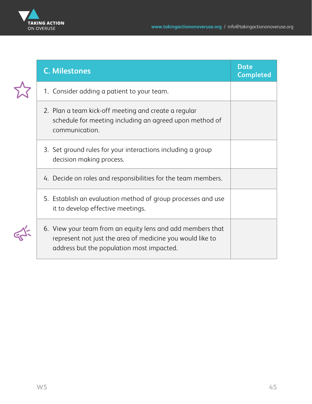

| <b>C. Milestones</b>                                                                                                                                                 | Date<br><b>Completed</b> |
|----------------------------------------------------------------------------------------------------------------------------------------------------------------------|--------------------------|
| 1. Consider adding a patient to your team.                                                                                                                           |                          |
| 2. Plan a team kick-off meeting and create a regular<br>schedule for meeting including an agreed upon method of<br>communication.                                    |                          |
| 3. Set ground rules for your interactions including a group<br>decision making process.                                                                              |                          |
| 4. Decide on roles and responsibilities for the team members.                                                                                                        |                          |
| 5. Establish an evaluation method of group processes and use<br>it to develop effective meetings.                                                                    |                          |
| 6. View your team from an equity lens and add members that<br>represent not just the area of medicine you would like to<br>address but the population most impacted. |                          |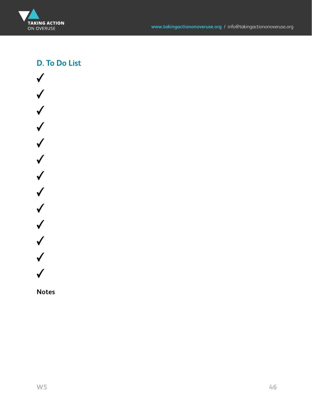

### **D. To Do List**



**Notes**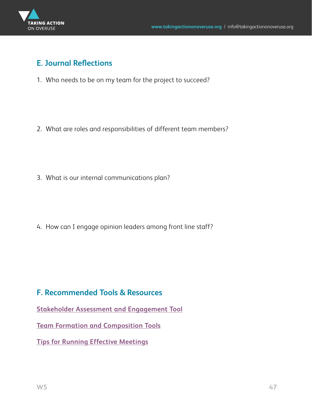

#### **E. Journal Reflections**

1. Who needs to be on my team for the project to succeed?

2. What are roles and responsibilities of different team members?

3. What is our internal communications plan?

4. How can I engage opinion leaders among front line staff?

#### **F. Recommended Tools & Resources**

**[Stakeholder Assessment and Engagement Tool](#page-73-0)**

**[Team Formation and Composition Tools](#page-73-0)**

**[Tips for Running Effective Meetings](#page-73-0)**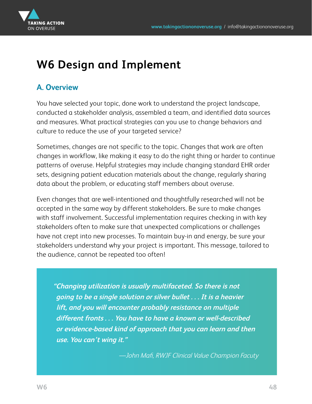

# **W6 Design and Implement**

### **A. Overview**

You have selected your topic, done work to understand the project landscape, conducted a stakeholder analysis, assembled a team, and identified data sources and measures. What practical strategies can you use to change behaviors and culture to reduce the use of your targeted service?

Sometimes, changes are not specific to the topic. Changes that work are often changes in workflow, like making it easy to do the right thing or harder to continue patterns of overuse. Helpful strategies may include changing standard EHR order sets, designing patient education materials about the change, regularly sharing data about the problem, or educating staff members about overuse.

Even changes that are well-intentioned and thoughtfully researched will not be accepted in the same way by different stakeholders. Be sure to make changes with staff involvement. Successful implementation requires checking in with key stakeholders often to make sure that unexpected complications or challenges have not crept into new processes. To maintain buy-in and energy, be sure your stakeholders understand why your project is important. This message, tailored to the audience, cannot be repeated too often!

**"Changing utilization is usually multifaceted. So there is not going to be a single solution or silver bullet . . . It is a heavier lift, and you will encounter probably resistance on multiple different fronts . . . You have to have a known or well-described or evidence-based kind of approach that you can learn and then use. You can't wing it."** 

—John Mafi, RWJF Clinical Value Champion Facuty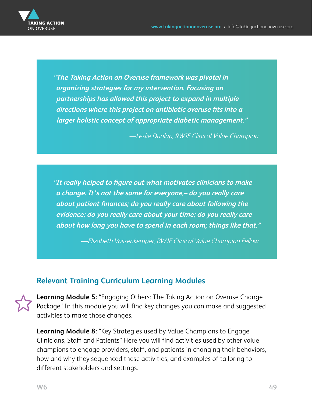<span id="page-48-0"></span>

**"The Taking Action on Overuse framework was pivotal in organizing strategies for my intervention. Focusing on partnerships has allowed this project to expand in multiple directions where this project on antibiotic overuse fits into a larger holistic concept of appropriate diabetic management."** 

—Leslie Dunlap, RWJF Clinical Value Champion

**"It really helped to figure out what motivates clinicians to make a change. It's not the same for everyone,– do you really care about patient finances; do you really care about following the evidence; do you really care about your time; do you really care about how long you have to spend in each room; things like that."** 

—Elizabeth Vossenkemper, RWJF Clinical Value Champion Fellow

#### **Relevant Training Curriculum Learning Modules**

**Learning Module 5:** "Engaging Others: The Taking Action on Overuse Change Package" In this module you will find key changes you can make and suggested activities to make those changes.

**Learning Module 8:** "Key Strategies used by Value Champions to Engage Clinicians, Staff and Patients" Here you will find activities used by other value champions to engage providers, staff, and patients in changing their behaviors, how and why they sequenced these activities, and examples of tailoring to different stakeholders and settings.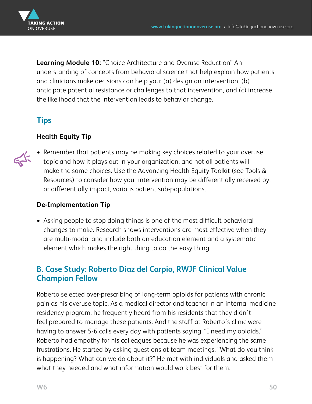

**Learning Module 10:** "Choice Architecture and Overuse Reduction" An understanding of concepts from behavioral science that help explain how patients and clinicians make decisions can help you: (a) design an intervention, (b) anticipate potential resistance or challenges to that intervention, and (c) increase the likelihood that the intervention leads to behavior change.

## **Tips**

#### **Health Equity Tip**



• Remember that patients may be making key choices related to your overuse topic and how it plays out in your organization, and not all patients will make the same choices. Use the Advancing Health Equity Toolkit (see Tools & Resources) to consider how your intervention may be differentially received by, or differentially impact, various patient sub-populations.

#### **De-Implementation Tip**

• Asking people to stop doing things is one of the most difficult behavioral changes to make. Research shows interventions are most effective when they are multi-modal and include both an education element and a systematic element which makes the right thing to do the easy thing.

### **B. Case Study: Roberto Diaz del Carpio, RWJF Clinical Value Champion Fellow**

Roberto selected over-prescribing of long-term opioids for patients with chronic pain as his overuse topic. As a medical director and teacher in an internal medicine residency program, he frequently heard from his residents that they didn't feel prepared to manage these patients. And the staff at Roberto's clinic were having to answer 5-6 calls every day with patients saying, "I need my opioids." Roberto had empathy for his colleagues because he was experiencing the same frustrations. He started by asking questions at team meetings, "What do you think is happening? What can we do about it?" He met with individuals and asked them what they needed and what information would work best for them.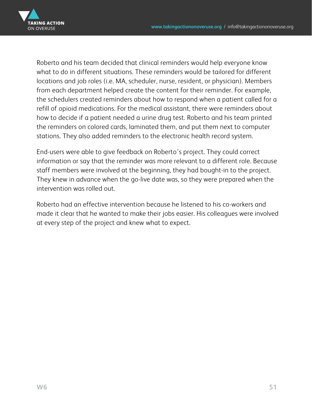

Roberto and his team decided that clinical reminders would help everyone know what to do in different situations. These reminders would be tailored for different locations and job roles (i.e. MA, scheduler, nurse, resident, or physician). Members from each department helped create the content for their reminder. For example, the schedulers created reminders about how to respond when a patient called for a refill of opioid medications. For the medical assistant, there were reminders about how to decide if a patient needed a urine drug test. Roberto and his team printed the reminders on colored cards, laminated them, and put them next to computer stations. They also added reminders to the electronic health record system.

End-users were able to give feedback on Roberto's project. They could correct information or say that the reminder was more relevant to a different role. Because staff members were involved at the beginning, they had bought-in to the project. They knew in advance when the go-live date was, so they were prepared when the intervention was rolled out.

Roberto had an effective intervention because he listened to his co-workers and made it clear that he wanted to make their jobs easier. His colleagues were involved at every step of the project and knew what to expect.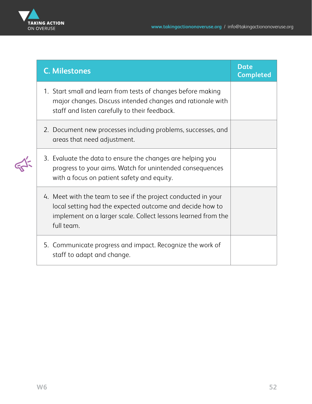

| <b>C. Milestones</b>                                                                                                                                                                                     | <b>Date</b><br><b>Completed</b> |
|----------------------------------------------------------------------------------------------------------------------------------------------------------------------------------------------------------|---------------------------------|
| 1. Start small and learn from tests of changes before making<br>major changes. Discuss intended changes and rationale with<br>staff and listen carefully to their feedback.                              |                                 |
| 2. Document new processes including problems, successes, and<br>areas that need adjustment.                                                                                                              |                                 |
| 3. Evaluate the data to ensure the changes are helping you<br>progress to your aims. Watch for unintended consequences<br>with a focus on patient safety and equity.                                     |                                 |
| 4. Meet with the team to see if the project conducted in your<br>local setting had the expected outcome and decide how to<br>implement on a larger scale. Collect lessons learned from the<br>full team. |                                 |
| 5. Communicate progress and impact. Recognize the work of<br>staff to adapt and change.                                                                                                                  |                                 |

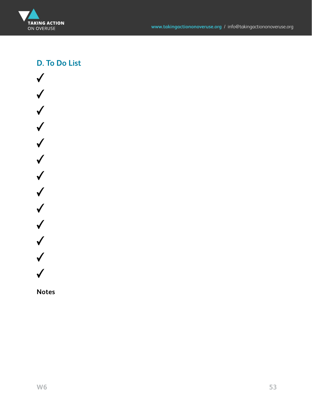

### **D. To Do List**



**Notes**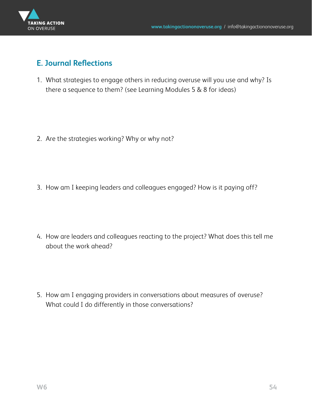

#### **E. Journal Reflections**

1. What strategies to engage others in reducing overuse will you use and why? Is there a sequence to them? (see Learning Modules 5 & 8 for ideas)

2. Are the strategies working? Why or why not?

3. How am I keeping leaders and colleagues engaged? How is it paying off?

4. How are leaders and colleagues reacting to the project? What does this tell me about the work ahead?

5. How am I engaging providers in conversations about measures of overuse? What could I do differently in those conversations?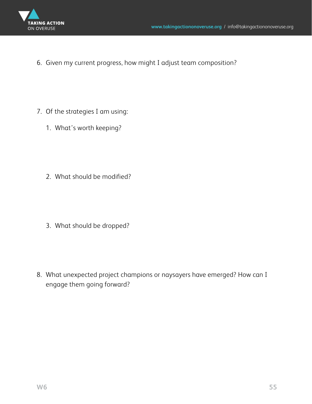

6. Given my current progress, how might I adjust team composition?

- 7. Of the strategies I am using:
	- 1. What's worth keeping?
	- 2. What should be modified?

3. What should be dropped?

8. What unexpected project champions or naysayers have emerged? How can I engage them going forward?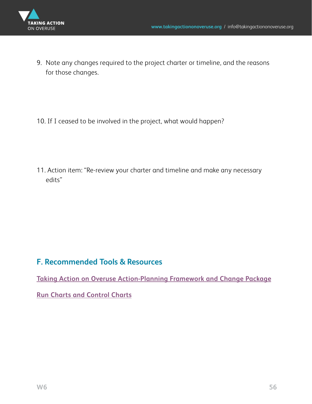

9. Note any changes required to the project charter or timeline, and the reasons for those changes.

10. If I ceased to be involved in the project, what would happen?

11. Action item: "Re-review your charter and timeline and make any necessary edits"

#### **F. Recommended Tools & Resources**

**[Taking Action on Overuse Action-Planning Framework and Change Package](#page-74-0)**

**[Run Charts and Control Charts](#page-72-0)**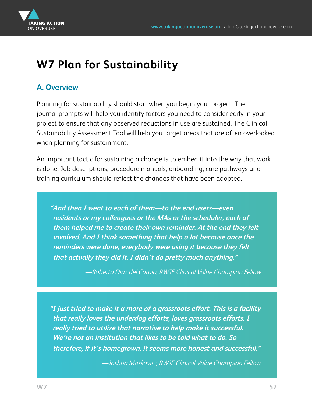

# **W7 Plan for Sustainability**

## **A. Overview**

Planning for sustainability should start when you begin your project. The journal prompts will help you identify factors you need to consider early in your project to ensure that any observed reductions in use are sustained. The Clinical Sustainability Assessment Tool will help you target areas that are often overlooked when planning for sustainment.

An important tactic for sustaining a change is to embed it into the way that work is done. Job descriptions, procedure manuals, onboarding, care pathways and training curriculum should reflect the changes that have been adopted.

**"And then I went to each of them—to the end users—even residents or my colleagues or the MAs or the scheduler, each of them helped me to create their own reminder. At the end they felt involved. And I think something that help a lot because once the reminders were done, everybody were using it because they felt that actually they did it. I didn't do pretty much anything."** 

—Roberto Diaz del Carpio, RWJF Clinical Value Champion Fellow

**"I just tried to make it a more of a grassroots effort. This is a facility that really loves the underdog efforts, loves grassroots efforts. I really tried to utilize that narrative to help make it successful. We're not an institution that likes to be told what to do. So therefore, if it's homegrown, it seems more honest and successful."**

—Joshua Moskovitz, RWJF Clinical Value Champion Fellow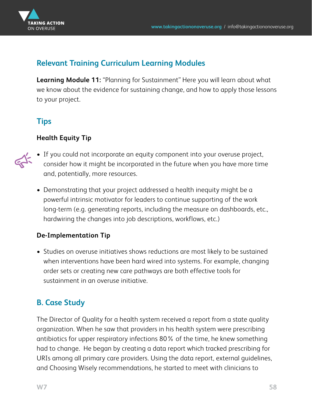<span id="page-57-0"></span>

### **Relevant Training Curriculum Learning Modules**

**Learning Module 11:** "Planning for Sustainment" Here you will learn about what we know about the evidence for sustaining change, and how to apply those lessons to your project.

## **Tips**

#### **Health Equity Tip**



- If you could not incorporate an equity component into your overuse project, consider how it might be incorporated in the future when you have more time and, potentially, more resources.
- Demonstrating that your project addressed a health inequity might be a powerful intrinsic motivator for leaders to continue supporting of the work long-term (e.g. generating reports, including the measure on dashboards, etc., hardwiring the changes into job descriptions, workflows, etc.)

#### **De-Implementation Tip**

• Studies on overuse initiatives shows reductions are most likely to be sustained when interventions have been hard wired into systems. For example, changing order sets or creating new care pathways are both effective tools for sustainment in an overuse initiative.

## **B. Case Study**

The Director of Quality for a health system received a report from a state quality organization. When he saw that providers in his health system were prescribing antibiotics for upper respiratory infections 80% of the time, he knew something had to change. He began by creating a data report which tracked prescribing for URIs among all primary care providers. Using the data report, external guidelines, and Choosing Wisely recommendations, he started to meet with clinicians to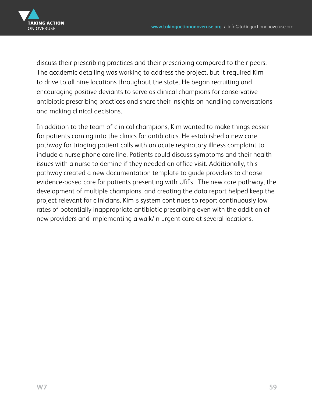

discuss their prescribing practices and their prescribing compared to their peers. The academic detailing was working to address the project, but it required Kim to drive to all nine locations throughout the state. He began recruiting and encouraging positive deviants to serve as clinical champions for conservative antibiotic prescribing practices and share their insights on handling conversations and making clinical decisions.

In addition to the team of clinical champions, Kim wanted to make things easier for patients coming into the clinics for antibiotics. He established a new care pathway for triaging patient calls with an acute respiratory illness complaint to include a nurse phone care line. Patients could discuss symptoms and their health issues with a nurse to demine if they needed an office visit. Additionally, this pathway created a new documentation template to guide providers to choose evidence-based care for patients presenting with URIs. The new care pathway, the development of multiple champions, and creating the data report helped keep the project relevant for clinicians. Kim's system continues to report continuously low rates of potentially inappropriate antibiotic prescribing even with the addition of new providers and implementing a walk/in urgent care at several locations.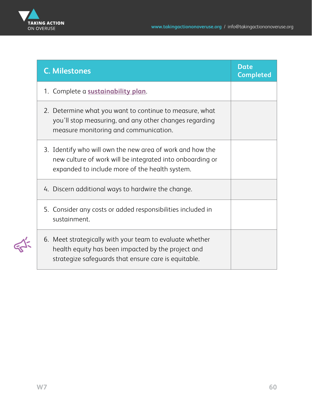

| <b>C. Milestones</b>                                                                                                                                                     | <b>Date</b><br><b>Completed</b> |
|--------------------------------------------------------------------------------------------------------------------------------------------------------------------------|---------------------------------|
| 1. Complete a sustainability plan.                                                                                                                                       |                                 |
| 2. Determine what you want to continue to measure, what<br>you'll stop measuring, and any other changes regarding<br>measure monitoring and communication.               |                                 |
| 3. Identify who will own the new area of work and how the<br>new culture of work will be integrated into onboarding or<br>expanded to include more of the health system. |                                 |
| 4. Discern additional ways to hardwire the change.                                                                                                                       |                                 |
| 5. Consider any costs or added responsibilities included in<br>sustainment.                                                                                              |                                 |
| 6. Meet strategically with your team to evaluate whether<br>health equity has been impacted by the project and<br>strategize safeguards that ensure care is equitable.   |                                 |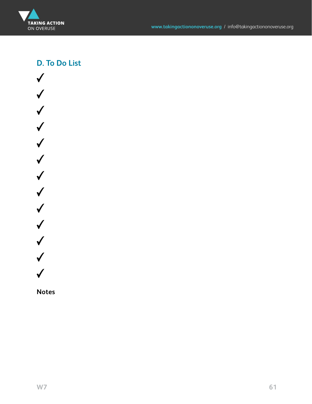

### **D. To Do List**



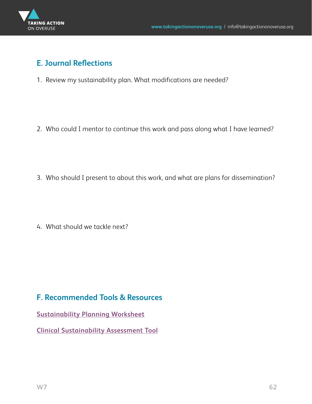

### **E. Journal Reflections**

1. Review my sustainability plan. What modifications are needed?

2. Who could I mentor to continue this work and pass along what I have learned?

3. Who should I present to about this work, and what are plans for dissemination?

4. What should we tackle next?

#### **F. Recommended Tools & Resources**

**[Sustainability Planning Worksheet](#page-74-0)**

**[Clinical Sustainability Assessment Tool](#page-74-0)**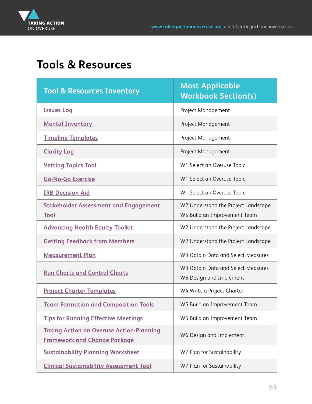

# **Tools & Resources**

| <b>Tool &amp; Resources Inventory</b>                                                  | <b>Most Applicable</b><br><b>Workbook Section(s)</b>                |
|----------------------------------------------------------------------------------------|---------------------------------------------------------------------|
| <b>Issues Log</b>                                                                      | Project Management                                                  |
| <b>Mental Inventory</b>                                                                | Project Management                                                  |
| <b>Timeline Templates</b>                                                              | Project Management                                                  |
| <b>Clarity Log</b>                                                                     | Project Management                                                  |
| <b>Vetting Topics Tool</b>                                                             | W1 Select an Overuse Topic                                          |
| <b>Go-No-Go Exercise</b>                                                               | W1 Select an Overuse Topic                                          |
| <b>IRB Decision Aid</b>                                                                | W1 Select an Overuse Topic                                          |
| <b>Stakeholder Assessment and Engagement</b><br><b>Tool</b>                            | W2 Understand the Project Landscape<br>W5 Build an Improvement Team |
| <b>Advancing Health Equity Toolkit</b>                                                 | W2 Understand the Project Landscape                                 |
| <b>Getting Feedback from Members</b>                                                   | W2 Understand the Project Landscape                                 |
| <b>Measurement Plan</b>                                                                | W3 Obtain Data and Select Measures                                  |
| <b>Run Charts and Control Charts</b>                                                   | W3 Obtain Data and Select Measures<br>W6 Design and Implement       |
| <b>Project Charter Templates</b>                                                       | W4 Write a Project Charter                                          |
| <b>Team Formation and Composition Tools</b>                                            | W5 Build an Improvement Team                                        |
| <b>Tips for Running Effective Meetings</b>                                             | W5 Build an Improvement Team                                        |
| <b>Taking Action on Overuse Action-Planning</b><br><b>Framework and Change Package</b> | W6 Design and Implement                                             |
| <b>Sustainability Planning Worksheet</b>                                               | W7 Plan for Sustainability                                          |
| <b>Clinical Sustainability Assessment Tool</b>                                         | W7 Plan for Sustainability                                          |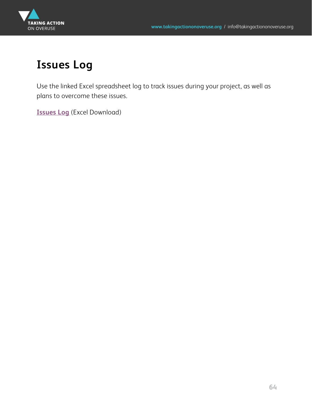<span id="page-63-0"></span>

# **Issues Log**

Use the linked Excel spreadsheet log to track issues during your project, as well as plans to overcome these issues.

**[Issues Log](https://www.kpwashingtonresearch.org/download_file/4527/0 )** (Excel Download)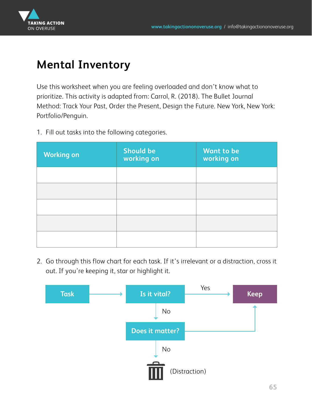<span id="page-64-0"></span>

# **Mental Inventory**

Use this worksheet when you are feeling overloaded and don't know what to prioritize. This activity is adapted from: Carrol, R. (2018). The Bullet Journal Method: Track Your Past, Order the Present, Design the Future. New York, New York: Portfolio/Penguin.

1. Fill out tasks into the following categories.

| <b>Working on</b> | <b>Should be</b><br>working on | <b>Want to be</b><br>working on |
|-------------------|--------------------------------|---------------------------------|
|                   |                                |                                 |
|                   |                                |                                 |
|                   |                                |                                 |
|                   |                                |                                 |
|                   |                                |                                 |

2. Go through this flow chart for each task. If it's irrelevant or a distraction, cross it out. If you're keeping it, star or highlight it.

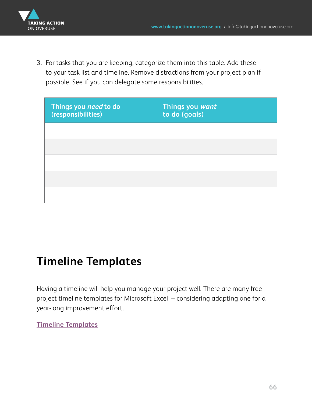<span id="page-65-0"></span>

3. For tasks that you are keeping, categorize them into this table. Add these to your task list and timeline. Remove distractions from your project plan if possible. See if you can delegate some responsibilities.

| Things you <i>need</i> to do<br>(responsibilities) | Things you want<br>to do (goals) |
|----------------------------------------------------|----------------------------------|
|                                                    |                                  |
|                                                    |                                  |
|                                                    |                                  |
|                                                    |                                  |
|                                                    |                                  |

# **Timeline Templates**

Having a timeline will help you manage your project well. There are many free project timeline templates for Microsoft Excel – considering adapting one for a year-long improvement effort.

**[Timeline Templates](https://templates.office.com/en-us/project-timeline-with-milestones-tm00000009)**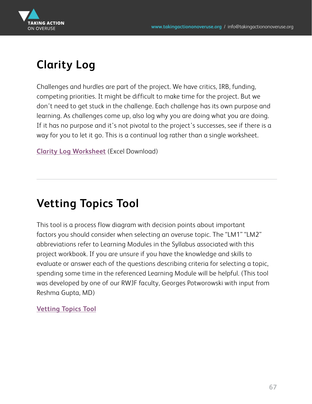<span id="page-66-0"></span>

# **Clarity Log**

Challenges and hurdles are part of the project. We have critics, IRB, funding, competing priorities. It might be difficult to make time for the project. But we don't need to get stuck in the challenge. Each challenge has its own purpose and learning. As challenges come up, also log why you are doing what you are doing. If it has no purpose and it's not pivotal to the project's successes, see if there is a way for you to let it go. This is a continual log rather than a single worksheet.

**[Clarity Log Worksheet](https://www.kpwashingtonresearch.org/download_file/4528/0)** (Excel Download)

# **Vetting Topics Tool**

This tool is a process flow diagram with decision points about important factors you should consider when selecting an overuse topic. The "LM1" "LM2" abbreviations refer to Learning Modules in the Syllabus associated with this project workbook. If you are unsure if you have the knowledge and skills to evaluate or answer each of the questions describing criteria for selecting a topic, spending some time in the referenced Learning Module will be helpful. (This tool was developed by one of our RWJF faculty, Georges Potworowski with input from Reshma Gupta, MD)

#### **[Vetting Topics Tool](https://www.kpwashingtonresearch.org/download_file/4529/0)**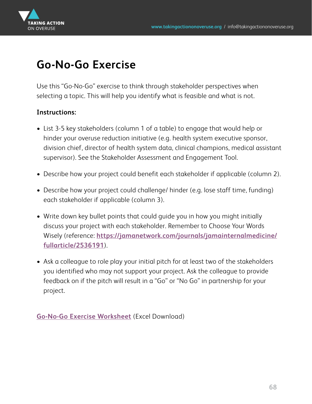<span id="page-67-0"></span>

# **Go-No-Go Exercise**

Use this "Go-No-Go" exercise to think through stakeholder perspectives when selecting a topic. This will help you identify what is feasible and what is not.

#### **Instructions:**

- List 3-5 key stakeholders (column 1 of a table) to engage that would help or hinder your overuse reduction initiative (e.g. health system executive sponsor, division chief, director of health system data, clinical champions, medical assistant supervisor). See the Stakeholder Assessment and Engagement Tool.
- Describe how your project could benefit each stakeholder if applicable (column 2).
- Describe how your project could challenge/ hinder (e.g. lose staff time, funding) each stakeholder if applicable (column 3).
- Write down key bullet points that could guide you in how you might initially discuss your project with each stakeholder. Remember to Choose Your Words Wisely (reference: **https://jamanetwork.com/journals/jamainternalmedicine/ fullarticle/2536191**).
- Ask a colleague to role play your initial pitch for at least two of the stakeholders you identified who may not support your project. Ask the colleague to provide feedback on if the pitch will result in a "Go" or "No Go" in partnership for your project.

**[Go-No-Go Exercise Worksheet](https://www.kpwashingtonresearch.org/download_file/4530/0)** (Excel Download)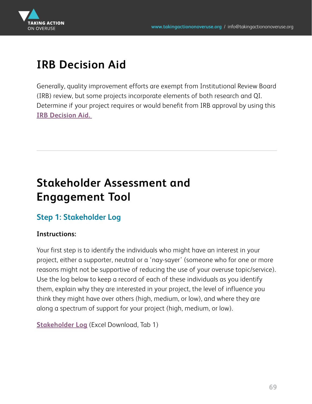<span id="page-68-0"></span>

# **IRB Decision Aid**

Generally, quality improvement efforts are exempt from Institutional Review Board (IRB) review, but some projects incorporate elements of both research and QI. Determine if your project requires or would benefit from IRB approval by using this **[IRB Decision Aid.](https://irb.research.chop.edu/sites/default/files/documents/quality_improvement_or_research_worksheet.pdf)** 

# **Stakeholder Assessment and Engagement Tool**

### **Step 1: Stakeholder Log**

#### **Instructions:**

Your first step is to identify the individuals who might have an interest in your project, either a supporter, neutral or a 'nay-sayer' (someone who for one or more reasons might not be supportive of reducing the use of your overuse topic/service). Use the log below to keep a record of each of these individuals as you identify them, explain why they are interested in your project, the level of influence you think they might have over others (high, medium, or low), and where they are along a spectrum of support for your project (high, medium, or low).

**[Stakeholder Log](https://www.kpwashingtonresearch.org/download_file/4531/0 )** (Excel Download, Tab 1)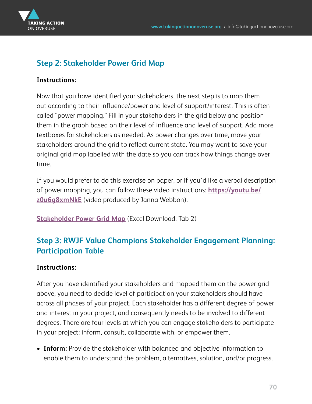

#### **Step 2: Stakeholder Power Grid Map**

#### **Instructions:**

Now that you have identified your stakeholders, the next step is to map them out according to their influence/power and level of support/interest. This is often called "power mapping." Fill in your stakeholders in the grid below and position them in the graph based on their level of influence and level of support. Add more textboxes for stakeholders as needed. As power changes over time, move your stakeholders around the grid to reflect current state. You may want to save your original grid map labelled with the date so you can track how things change over time.

If you would prefer to do this exercise on paper, or if you'd like a verbal description [of power mapping, you can follow these video instructions:](https://www.youtube.com/watch?v=z0u6g8xmNkE&feature=youtu.be) **https://youtu.be/ z0u6g8xmNkE** (video produced by Janna Webbon).

**[Stakeholder Power Grid Map](https://www.kpwashingtonresearch.org/download_file/4531/0 )** (Excel Download, Tab 2)

## **Step 3: RWJF Value Champions Stakeholder Engagement Planning: Participation Table**

#### **Instructions:**

After you have identified your stakeholders and mapped them on the power grid above, you need to decide level of participation your stakeholders should have across all phases of your project. Each stakeholder has a different degree of power and interest in your project, and consequently needs to be involved to different degrees. There are four levels at which you can engage stakeholders to participate in your project: inform, consult, collaborate with, or empower them.

• **Inform:** Provide the stakeholder with balanced and objective information to enable them to understand the problem, alternatives, solution, and/or progress.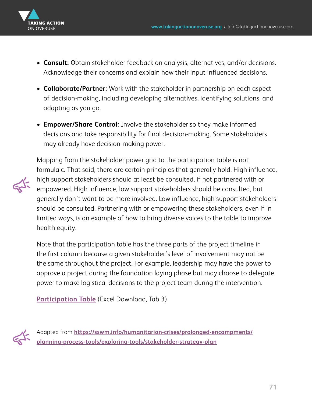

- **Consult:** Obtain stakeholder feedback on analysis, alternatives, and/or decisions. Acknowledge their concerns and explain how their input influenced decisions.
- **Collaborate/Partner:** Work with the stakeholder in partnership on each aspect of decision-making, including developing alternatives, identifying solutions, and adapting as you go.
- **Empower/Share Control:** Involve the stakeholder so they make informed decisions and take responsibility for final decision-making. Some stakeholders may already have decision-making power.



Mapping from the stakeholder power grid to the participation table is not formulaic. That said, there are certain principles that generally hold. High influence, high support stakeholders should at least be consulted, if not partnered with or empowered. High influence, low support stakeholders should be consulted, but generally don't want to be more involved. Low influence, high support stakeholders should be consulted. Partnering with or empowering these stakeholders, even if in limited ways, is an example of how to bring diverse voices to the table to improve health equity.

Note that the participation table has the three parts of the project timeline in the first column because a given stakeholder's level of involvement may not be the same throughout the project. For example, leadership may have the power to approve a project during the foundation laying phase but may choose to delegate power to make logistical decisions to the project team during the intervention.

**[Participation Table](https://www.kpwashingtonresearch.org/download_file/4531/0 )** (Excel Download, Tab 3)



Adapted from **https://sswm.info/humanitarian-crises/prolonged-encampments/ [planning-process-tools/exploring-tools/stakeholder-strategy-plan](https://sswm.info/humanitarian-crises/prolonged-encampments/planning-process-tools/exploring-tools/stakeholder-strategy-plan)**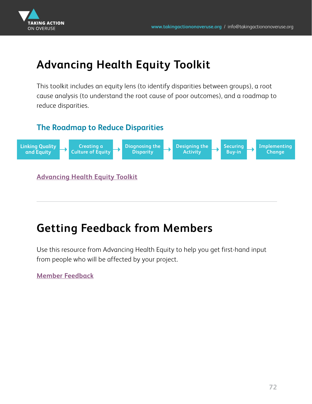<span id="page-71-0"></span>

# **Advancing Health Equity Toolkit**

This toolkit includes an equity lens (to identify disparities between groups), a root cause analysis (to understand the root cause of poor outcomes), and a roadmap to reduce disparities.

#### **The Roadmap to Reduce Disparities**



# **Getting Feedback from Members**

Use this resource from Advancing Health Equity to help you get first-hand input from people who will be affected by your project.

**[Member Feedback](https://www.kpwashingtonresearch.org/download_file/4532/0 )**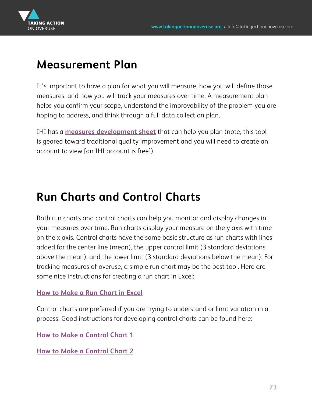

## **Measurement Plan**

It's important to have a plan for what you will measure, how you will define those measures, and how you will track your measures over time. A measurement plan helps you confirm your scope, understand the improvability of the problem you are hoping to address, and think through a full data collection plan.

IHI has a **[measures development sheet](http://www.ihi.org/resources/Pages/Tools/Quality-Improvement-Project-Measures-Worksheet.aspx)** that can help you plan (note, this tool is geared toward traditional quality improvement and you will need to create an account to view [an IHI account is free]).

## **Run Charts and Control Charts**

Both run charts and control charts can help you monitor and display changes in your measures over time. Run charts display your measure on the y axis with time on the x axis. Control charts have the same basic structure as run charts with lines added for the center line (mean), the upper control limit (3 standard deviations above the mean), and the lower limit (3 standard deviations below the mean). For tracking measures of overuse, a simple run chart may be the best tool. Here are some nice instructions for creating a run chart in Excel:

#### **[How to Make a Run Chart in Excel](https://www.oahhs.org/assets/documents/files/how-to-make-a-run-chart-using.pdf )**

Control charts are preferred if you are trying to understand or limit variation in a process. Good instructions for developing control charts can be found here:

**[How to Make a Control Chart 1](https://www.vertex42.com/ExcelTemplates/control-chart.html )**

**[How to Make a Control Chart 2](http://How To... Draw a Basic Control Chart in Excel 2010 - YouTube)**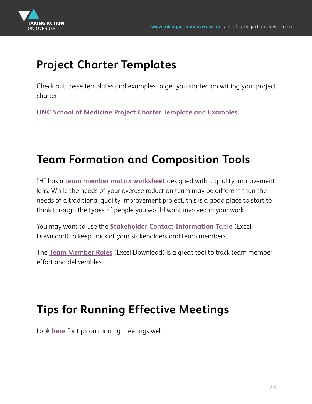

# **Project Charter Templates**

Check out these templates and examples to get you started on writing your project charter:

**[UNC School of Medicine Project Charter Template and Examples](https://www.med.unc.edu/ihqi/resources/project-charter/)** 

## **Team Formation and Composition Tools**

IHI has a **[team member matrix worksheet](http://www.ihi.org/resources/Pages/Tools/Quality-Improvement-Team-Member-Matrix-Worksheet.aspx)** designed with a quality improvement lens. While the needs of your overuse reduction team may be different than the needs of a traditional quality improvement project, this is a good place to start to think through the types of people you would want involved in your work.

You may want to use the **[Stakeholder Contact Information Table](https://www.kpwashingtonresearch.org/download_file/4534/0 )** (Excel Download) to keep track of your stakeholders and team members.

The **[Team Member Roles](https://www.kpwashingtonresearch.org/download_file/4533/0

)** (Excel Download) is a great tool to track team member effort and deliverables.

## **Tips for Running Effective Meetings**

Look **[here](https://unito.io/blog/running-effective-meetings-tips/)** for tips on running meetings well.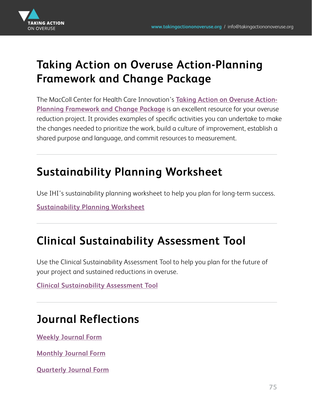

## **Taking Action on Overuse Action-Planning Framework and Change Package**

[The MacColl Center for Health Care Innovation's](https://takingactiononoveruse.org/userfiles/TakingActiononOveruseFrameworkChangePackage.pdf) **Taking Action on Overuse Action-Planning Framework and Change Package** is an excellent resource for your overuse reduction project. It provides examples of specific activities you can undertake to make the changes needed to prioritize the work, build a culture of improvement, establish a shared purpose and language, and commit resources to measurement.

# **Sustainability Planning Worksheet**

Use IHI's sustainability planning worksheet to help you plan for long-term success.

**[Sustainability Planning Worksheet](http://www.ihi.org/resources/Pages/Tools/Sustainability-Planning-Worksheet.aspx)**

## **Clinical Sustainability Assessment Tool**

Use the Clinical Sustainability Assessment Tool to help you plan for the future of your project and sustained reductions in overuse.

**[Clinical Sustainability Assessment Tool](https://www.sustaintool.org/csat/)**

## **Journal Reflections**

**[Weekly Journal Form](https://www.kpwashingtonresearch.org/download_file/4535/0 )**

**[Monthly Journal Form](https://www.kpwashingtonresearch.org/download_file/4536/0 

)**

**[Quarterly Journal Form](https://www.kpwashingtonresearch.org/download_file/4537/0 )**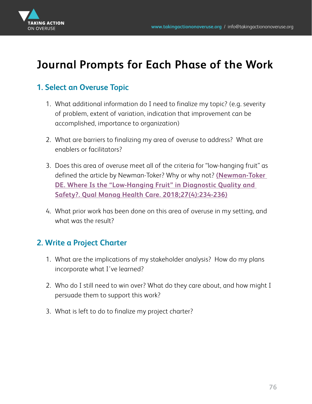

## **Journal Prompts for Each Phase of the Work**

## **1. Select an Overuse Topic**

- 1. What additional information do I need to finalize my topic? (e.g. severity of problem, extent of variation, indication that improvement can be accomplished, importance to organization)
- 2. What are barriers to finalizing my area of overuse to address? What are enablers or facilitators?
- 3. Does this area of overuse meet all of the criteria for "low-hanging fruit" as defined the article by Newman-Toker? Why or why not? **(Newman-Toker [DE. Where Is the "Low-Hanging Fruit" in Diagnostic Quality and](https://journals.lww.com/qmhcjournal/Citation/2018/10000/Where_Is_the__Low_Hanging_Fruit__in_Diagnostic.9.aspx)  Safety?. Qual Manag Health Care. 2018;27(4):234-236)**
- 4. What prior work has been done on this area of overuse in my setting, and what was the result?

#### **2. Write a Project Charter**

- 1. What are the implications of my stakeholder analysis? How do my plans incorporate what I've learned?
- 2. Who do I still need to win over? What do they care about, and how might I persuade them to support this work?
- 3. What is left to do to finalize my project charter?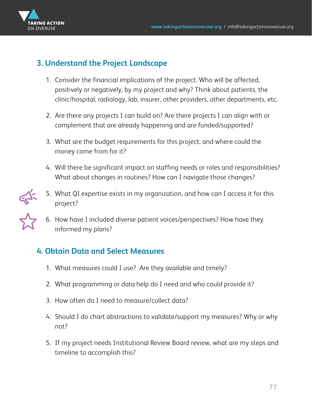

#### **3. Understand the Project Landscape**

- 1. Consider the financial implications of the project. Who will be affected, positively or negatively, by my project and why? Think about patients, the clinic/hospital, radiology, lab, insurer, other providers, other departments, etc.
- 2. Are there any projects I can build on? Are there projects I can align with or complement that are already happening and are funded/supported?
- 3. What are the budget requirements for this project, and where could the money come from for it?
- 4. Will there be significant impact on staffing needs or roles and responsibilities? What about changes in routines? How can I navigate those changes?
- 5. What QI expertise exists in my organization, and how can I access it for this project?
- 6. How have I included diverse patient voices/perspectives? How have they informed my plans?

## **4. Obtain Data and Select Measures**

- 1. What measures could I use? Are they available and timely?
- 2. What programming or data help do I need and who could provide it?
- 3. How often do I need to measure/collect data?
- 4. Should I do chart abstractions to validate/support my measures? Why or why not?
- 5. If my project needs Institutional Review Board review, what are my steps and timeline to accomplish this?



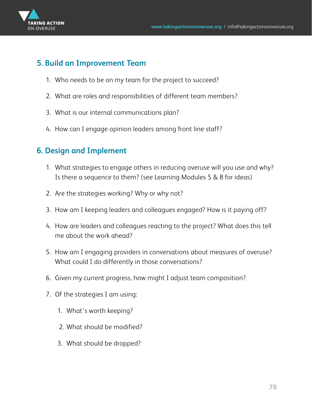

#### **5. Build an Improvement Team**

- 1. Who needs to be on my team for the project to succeed?
- 2. What are roles and responsibilities of different team members?
- 3. What is our internal communications plan?
- 4. How can I engage opinion leaders among front line staff?

## **6. Design and Implement**

- 1. What strategies to engage others in reducing overuse will you use and why? Is there a sequence to them? (see Learning Modules 5 & 8 for ideas)
- 2. Are the strategies working? Why or why not?
- 3. How am I keeping leaders and colleagues engaged? How is it paying off?
- 4. How are leaders and colleagues reacting to the project? What does this tell me about the work ahead?
- 5. How am I engaging providers in conversations about measures of overuse? What could I do differently in those conversations?
- 6. Given my current progress, how might I adjust team composition?
- 7. Of the strategies I am using:
	- 1. What's worth keeping?
	- 2. What should be modified?
	- 3. What should be dropped?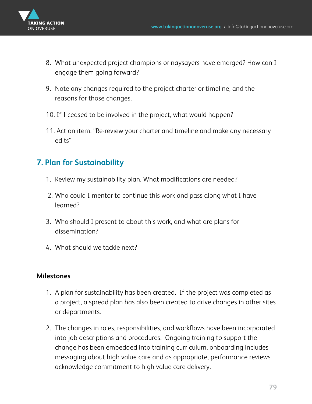

- 8. What unexpected project champions or naysayers have emerged? How can I engage them going forward?
- 9. Note any changes required to the project charter or timeline, and the reasons for those changes.
- 10. If I ceased to be involved in the project, what would happen?
- 11. Action item: "Re-review your charter and timeline and make any necessary edits"

## **7. Plan for Sustainability**

- 1. Review my sustainability plan. What modifications are needed?
- 2. Who could I mentor to continue this work and pass along what I have learned?
- 3. Who should I present to about this work, and what are plans for dissemination?
- 4. What should we tackle next?

#### **Milestones**

- 1. A plan for sustainability has been created. If the project was completed as a project, a spread plan has also been created to drive changes in other sites or departments.
- 2. The changes in roles, responsibilities, and workflows have been incorporated into job descriptions and procedures. Ongoing training to support the change has been embedded into training curriculum, onboarding includes messaging about high value care and as appropriate, performance reviews acknowledge commitment to high value care delivery.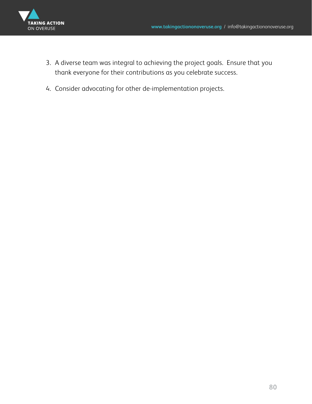

- 3. A diverse team was integral to achieving the project goals. Ensure that you thank everyone for their contributions as you celebrate success.
- 4. Consider advocating for other de-implementation projects.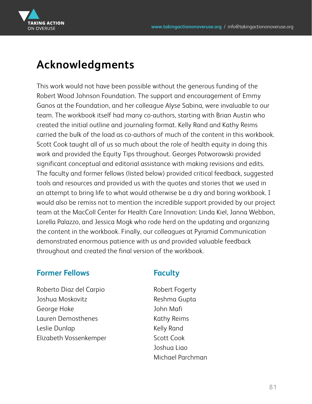

## **Acknowledgments**

This work would not have been possible without the generous funding of the Robert Wood Johnson Foundation. The support and encouragement of Emmy Ganos at the Foundation, and her colleague Alyse Sabina, were invaluable to our team. The workbook itself had many co-authors, starting with Brian Austin who created the initial outline and journaling format. Kelly Rand and Kathy Reims carried the bulk of the load as co-authors of much of the content in this workbook. Scott Cook taught all of us so much about the role of health equity in doing this work and provided the Equity Tips throughout. Georges Potworowski provided significant conceptual and editorial assistance with making revisions and edits. The faculty and former fellows (listed below) provided critical feedback, suggested tools and resources and provided us with the quotes and stories that we used in an attempt to bring life to what would otherwise be a dry and boring workbook. I would also be remiss not to mention the incredible support provided by our project team at the MacColl Center for Health Care Innovation: Linda Kiel, Janna Webbon, Lorella Palazzo, and Jessica Mogk who rode herd on the updating and organizing the content in the workbook. Finally, our colleagues at Pyramid Communication demonstrated enormous patience with us and provided valuable feedback throughout and created the final version of the workbook.

#### **Former Fellows**

**Faculty**

Roberto Diaz del Carpio Joshua Moskovitz George Hoke Lauren Demosthenes Leslie Dunlap Elizabeth Vossenkemper

Robert Fogerty Reshma Gupta John Mafi Kathy Reims Kelly Rand Scott Cook Joshua Liao Michael Parchman